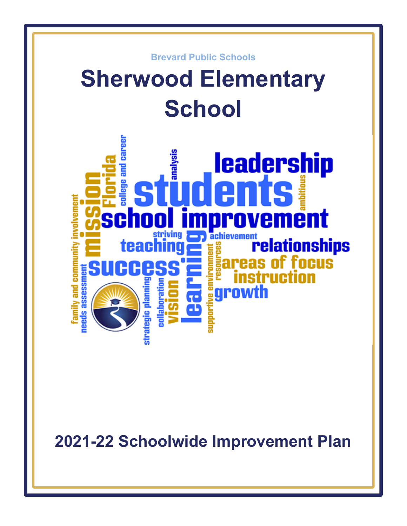

**2021-22 Schoolwide Improvement Plan**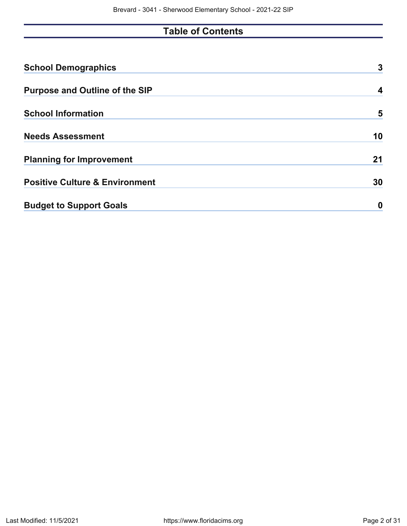# **Table of Contents**

| <b>School Demographics</b>                | 3  |
|-------------------------------------------|----|
| <b>Purpose and Outline of the SIP</b>     | 4  |
| <b>School Information</b>                 | 5  |
| <b>Needs Assessment</b>                   | 10 |
| <b>Planning for Improvement</b>           | 21 |
| <b>Positive Culture &amp; Environment</b> | 30 |
| <b>Budget to Support Goals</b>            | 0  |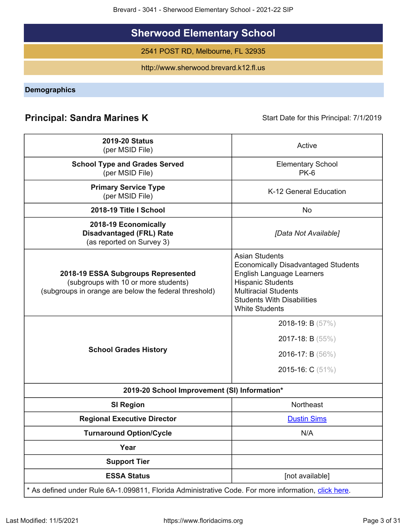Brevard - 3041 - Sherwood Elementary School - 2021-22 SIP

# **Sherwood Elementary School**

2541 POST RD, Melbourne, FL 32935

http://www.sherwood.brevard.k12.fl.us

<span id="page-2-0"></span>**Demographics**

# **Principal: Sandra Marines K** Start Date for this Principal: 7/1/2019

| <b>2019-20 Status</b><br>(per MSID File)                                                                                            | Active                                                                                                                                                                                                                           |
|-------------------------------------------------------------------------------------------------------------------------------------|----------------------------------------------------------------------------------------------------------------------------------------------------------------------------------------------------------------------------------|
| <b>School Type and Grades Served</b><br>(per MSID File)                                                                             | <b>Elementary School</b><br>$PK-6$                                                                                                                                                                                               |
| <b>Primary Service Type</b><br>(per MSID File)                                                                                      | K-12 General Education                                                                                                                                                                                                           |
| 2018-19 Title I School                                                                                                              | No                                                                                                                                                                                                                               |
| 2018-19 Economically<br><b>Disadvantaged (FRL) Rate</b><br>(as reported on Survey 3)                                                | [Data Not Available]                                                                                                                                                                                                             |
| 2018-19 ESSA Subgroups Represented<br>(subgroups with 10 or more students)<br>(subgroups in orange are below the federal threshold) | <b>Asian Students</b><br><b>Economically Disadvantaged Students</b><br><b>English Language Learners</b><br><b>Hispanic Students</b><br><b>Multiracial Students</b><br><b>Students With Disabilities</b><br><b>White Students</b> |
| <b>School Grades History</b>                                                                                                        | 2018-19: B (57%)<br><b>2017-18: B</b> $(55\%)$<br>2016-17: B $(56\%)$<br>2015-16: C (51%)                                                                                                                                        |
| 2019-20 School Improvement (SI) Information*                                                                                        |                                                                                                                                                                                                                                  |
| <b>SI Region</b>                                                                                                                    | Northeast                                                                                                                                                                                                                        |
| <b>Regional Executive Director</b>                                                                                                  | <b>Dustin Sims</b>                                                                                                                                                                                                               |
| <b>Turnaround Option/Cycle</b>                                                                                                      | N/A                                                                                                                                                                                                                              |
| Year                                                                                                                                |                                                                                                                                                                                                                                  |
| <b>Support Tier</b>                                                                                                                 |                                                                                                                                                                                                                                  |
| <b>ESSA Status</b>                                                                                                                  | [not available]                                                                                                                                                                                                                  |
| * As defined under Rule 6A-1.099811, Florida Administrative Code. For more information, click here.                                 |                                                                                                                                                                                                                                  |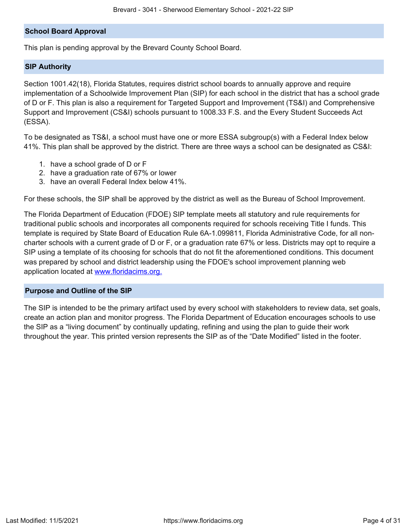## **School Board Approval**

This plan is pending approval by the Brevard County School Board.

#### **SIP Authority**

Section 1001.42(18), Florida Statutes, requires district school boards to annually approve and require implementation of a Schoolwide Improvement Plan (SIP) for each school in the district that has a school grade of D or F. This plan is also a requirement for Targeted Support and Improvement (TS&I) and Comprehensive Support and Improvement (CS&I) schools pursuant to 1008.33 F.S. and the Every Student Succeeds Act (ESSA).

To be designated as TS&I, a school must have one or more ESSA subgroup(s) with a Federal Index below 41%. This plan shall be approved by the district. There are three ways a school can be designated as CS&I:

- 1. have a school grade of D or F
- 2. have a graduation rate of 67% or lower
- 3. have an overall Federal Index below 41%.

For these schools, the SIP shall be approved by the district as well as the Bureau of School Improvement.

The Florida Department of Education (FDOE) SIP template meets all statutory and rule requirements for traditional public schools and incorporates all components required for schools receiving Title I funds. This template is required by State Board of Education Rule 6A-1.099811, Florida Administrative Code, for all noncharter schools with a current grade of D or F, or a graduation rate 67% or less. Districts may opt to require a SIP using a template of its choosing for schools that do not fit the aforementioned conditions. This document was prepared by school and district leadership using the FDOE's school improvement planning web application located at [www.floridacims.org.](https://www.floridacims.org)

#### <span id="page-3-0"></span>**Purpose and Outline of the SIP**

The SIP is intended to be the primary artifact used by every school with stakeholders to review data, set goals, create an action plan and monitor progress. The Florida Department of Education encourages schools to use the SIP as a "living document" by continually updating, refining and using the plan to guide their work throughout the year. This printed version represents the SIP as of the "Date Modified" listed in the footer.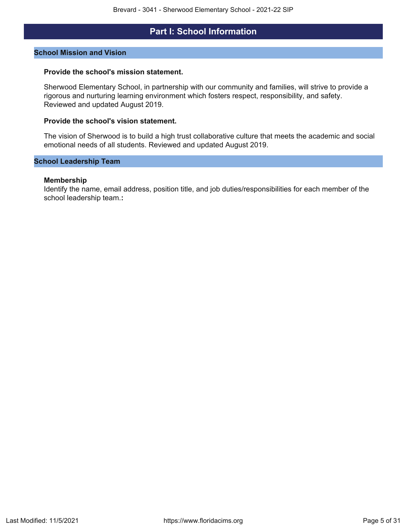# **Part I: School Information**

#### <span id="page-4-0"></span>**School Mission and Vision**

#### **Provide the school's mission statement.**

Sherwood Elementary School, in partnership with our community and families, will strive to provide a rigorous and nurturing learning environment which fosters respect, responsibility, and safety. Reviewed and updated August 2019.

#### **Provide the school's vision statement.**

The vision of Sherwood is to build a high trust collaborative culture that meets the academic and social emotional needs of all students. Reviewed and updated August 2019.

#### **School Leadership Team**

#### **Membership**

Identify the name, email address, position title, and job duties/responsibilities for each member of the school leadership team.**:**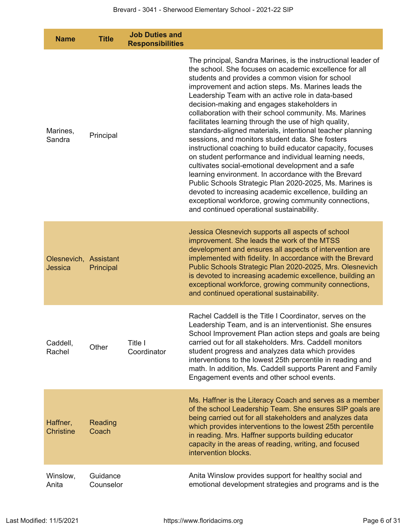| <b>Name</b>                             | <b>Title</b>          | <b>Job Duties and</b><br><b>Responsibilities</b> |                                                                                                                                                                                                                                                                                                                                                                                                                                                                                                                                                                                                                                                                                                                                                                                                                                                                                                                                                                                                                                            |
|-----------------------------------------|-----------------------|--------------------------------------------------|--------------------------------------------------------------------------------------------------------------------------------------------------------------------------------------------------------------------------------------------------------------------------------------------------------------------------------------------------------------------------------------------------------------------------------------------------------------------------------------------------------------------------------------------------------------------------------------------------------------------------------------------------------------------------------------------------------------------------------------------------------------------------------------------------------------------------------------------------------------------------------------------------------------------------------------------------------------------------------------------------------------------------------------------|
| Marines,<br>Sandra                      | Principal             |                                                  | The principal, Sandra Marines, is the instructional leader of<br>the school. She focuses on academic excellence for all<br>students and provides a common vision for school<br>improvement and action steps. Ms. Marines leads the<br>Leadership Team with an active role in data-based<br>decision-making and engages stakeholders in<br>collaboration with their school community. Ms. Marines<br>facilitates learning through the use of high quality,<br>standards-aligned materials, intentional teacher planning<br>sessions, and monitors student data. She fosters<br>instructional coaching to build educator capacity, focuses<br>on student performance and individual learning needs,<br>cultivates social-emotional development and a safe<br>learning environment. In accordance with the Brevard<br>Public Schools Strategic Plan 2020-2025, Ms. Marines is<br>devoted to increasing academic excellence, building an<br>exceptional workforce, growing community connections,<br>and continued operational sustainability. |
| Olesnevich, Assistant<br><b>Jessica</b> | Principal             |                                                  | Jessica Olesnevich supports all aspects of school<br>improvement. She leads the work of the MTSS<br>development and ensures all aspects of intervention are<br>implemented with fidelity. In accordance with the Brevard<br>Public Schools Strategic Plan 2020-2025, Mrs. Olesnevich<br>is devoted to increasing academic excellence, building an<br>exceptional workforce, growing community connections,<br>and continued operational sustainability.                                                                                                                                                                                                                                                                                                                                                                                                                                                                                                                                                                                    |
| Caddell,<br>Rachel                      | Other                 | Title I<br>Coordinator                           | Rachel Caddell is the Title I Coordinator, serves on the<br>Leadership Team, and is an interventionist. She ensures<br>School Improvement Plan action steps and goals are being<br>carried out for all stakeholders. Mrs. Caddell monitors<br>student progress and analyzes data which provides<br>interventions to the lowest 25th percentile in reading and<br>math. In addition, Ms. Caddell supports Parent and Family<br>Engagement events and other school events.                                                                                                                                                                                                                                                                                                                                                                                                                                                                                                                                                                   |
| Haffner,<br><b>Christine</b>            | Reading<br>Coach      |                                                  | Ms. Haffner is the Literacy Coach and serves as a member<br>of the school Leadership Team. She ensures SIP goals are<br>being carried out for all stakeholders and analyzes data<br>which provides interventions to the lowest 25th percentile<br>in reading. Mrs. Haffner supports building educator<br>capacity in the areas of reading, writing, and focused<br>intervention blocks.                                                                                                                                                                                                                                                                                                                                                                                                                                                                                                                                                                                                                                                    |
| Winslow,<br>Anita                       | Guidance<br>Counselor |                                                  | Anita Winslow provides support for healthy social and<br>emotional development strategies and programs and is the                                                                                                                                                                                                                                                                                                                                                                                                                                                                                                                                                                                                                                                                                                                                                                                                                                                                                                                          |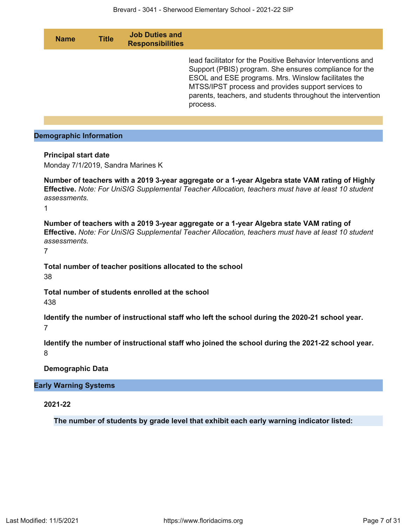| <b>Name</b>                                                      | <b>Title</b> | <b>Job Duties and</b><br><b>Responsibilities</b> |                                                                                                                                                                                                                                                                                                                |
|------------------------------------------------------------------|--------------|--------------------------------------------------|----------------------------------------------------------------------------------------------------------------------------------------------------------------------------------------------------------------------------------------------------------------------------------------------------------------|
|                                                                  |              |                                                  | lead facilitator for the Positive Behavior Interventions and<br>Support (PBIS) program. She ensures compliance for the<br>ESOL and ESE programs. Mrs. Winslow facilitates the<br>MTSS/IPST process and provides support services to<br>parents, teachers, and students throughout the intervention<br>process. |
|                                                                  |              |                                                  |                                                                                                                                                                                                                                                                                                                |
| <b>Demographic Information</b>                                   |              |                                                  |                                                                                                                                                                                                                                                                                                                |
| <b>Principal start date</b><br>Monday 7/1/2019, Sandra Marines K |              |                                                  |                                                                                                                                                                                                                                                                                                                |
| assessments.<br>1                                                |              |                                                  | Number of teachers with a 2019 3-year aggregate or a 1-year Algebra state VAM rating of Highly<br><b>Effective.</b> Note: For UniSIG Supplemental Teacher Allocation, teachers must have at least 10 student                                                                                                   |

**Number of teachers with a 2019 3-year aggregate or a 1-year Algebra state VAM rating of Effective.** *Note: For UniSIG Supplemental Teacher Allocation, teachers must have at least 10 student assessments.*

7

**Total number of teacher positions allocated to the school** 38

**Total number of students enrolled at the school** 438

**Identify the number of instructional staff who left the school during the 2020-21 school year.** 7

**Identify the number of instructional staff who joined the school during the 2021-22 school year.** 8

## **Demographic Data**

## **Early Warning Systems**

**2021-22**

**The number of students by grade level that exhibit each early warning indicator listed:**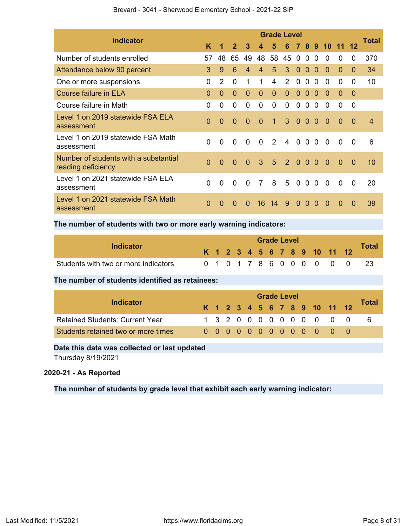| <b>Indicator</b>                                            |          |                      |                |                |                | <b>Grade Level</b> |                   |                |                |                |                |          |                | Total          |
|-------------------------------------------------------------|----------|----------------------|----------------|----------------|----------------|--------------------|-------------------|----------------|----------------|----------------|----------------|----------|----------------|----------------|
|                                                             | K        | $\blacktriangleleft$ | 2 <sup>1</sup> | 3              | 4              | 5                  |                   |                |                |                | 6 7 8 9 10 11  |          |                |                |
| Number of students enrolled                                 | 57       | 48                   | 65             | 49             |                | 48 58              | 45                | $\mathbf 0$    | $\Omega$       | $\Omega$       | $\Omega$       | 0        | $\Omega$       | 370            |
| Attendance below 90 percent                                 | 3        | 9                    | 6              | $\overline{4}$ | $\overline{4}$ | 5                  | 3                 | $\mathbf{0}$   | $\Omega$       | $\Omega$       | $\Omega$       | $\Omega$ | $\Omega$       | 34             |
| One or more suspensions                                     | $\Omega$ | 2                    | $\mathbf{0}$   | 1              | 1              | 4                  | $\mathcal{P}$     | $\Omega$       | $\Omega$       | $\Omega$       | $\Omega$       | $\Omega$ | 0              | 10             |
| <b>Course failure in ELA</b>                                | $\Omega$ | $\Omega$             | $\overline{0}$ | $\Omega$       | $\mathbf{0}$   | $\Omega$           | $\Omega$          | $\Omega$       | $\Omega$       | $\Omega$       | $\Omega$       | $\Omega$ | $\Omega$       |                |
| Course failure in Math                                      | $\Omega$ | $\Omega$             | $\mathbf{0}$   | $\mathbf{0}$   | $\mathbf{0}$   | $\mathbf{0}$       | $\mathbf{0}$      | $\mathbf{0}$   | $\Omega$       | $\Omega$       | $\Omega$       | $\Omega$ | $\mathbf{0}$   |                |
| Level 1 on 2019 statewide FSA ELA<br>assessment             | $\Omega$ | $\Omega$             | $\mathbf{0}$   | $\Omega$       | $\overline{0}$ | $\mathbf{1}$       | 3 0 0 0           |                |                |                | $\overline{0}$ | $\Omega$ | $\overline{0}$ | $\overline{4}$ |
| Level 1 on 2019 statewide FSA Math<br>assessment            | $\Omega$ | $\overline{0}$       | $\mathbf{0}$   | $\mathbf{0}$   | $\mathbf{0}$   | 2                  | $\overline{4}$    | $\overline{0}$ |                | 0 <sub>0</sub> | $\Omega$       | $\Omega$ | $\Omega$       | 6              |
| Number of students with a substantial<br>reading deficiency | $\Omega$ | $\Omega$             | $\overline{0}$ | $\Omega$       | 3              |                    | $5\quad 2\quad 0$ |                | $\overline{0}$ | $\bullet$      | $\Omega$       | $\Omega$ | $\Omega$       | 10             |
| Level 1 on 2021 statewide FSA ELA<br>assessment             | $\Omega$ | $\Omega$             | $\Omega$       | $\Omega$       | 7              | 8                  | 5                 | $\Omega$       | $\Omega$       | $\Omega$       | $\Omega$       | $\Omega$ | $\Omega$       | 20             |
| Level 1 on 2021 statewide FSA Math<br>assessment            | $\Omega$ | $\Omega$             | $\Omega$       | $\Omega$       | 16.            | 14                 | 9                 | $\Omega$       | $\Omega$       | $\Omega$       | $\Omega$       | $\Omega$ | $\Omega$       | 39             |

## Brevard - 3041 - Sherwood Elementary School - 2021-22 SIP

# **The number of students with two or more early warning indicators:**

| Indicator                            |  |  |  | <b>Grade Level</b> |  |  |                              | <b>Total</b> |
|--------------------------------------|--|--|--|--------------------|--|--|------------------------------|--------------|
|                                      |  |  |  |                    |  |  | K 1 2 3 4 5 6 7 8 9 10 11 12 |              |
| Students with two or more indicators |  |  |  |                    |  |  | 0 1 0 1 7 8 6 0 0 0 0 0 0    |              |

#### **The number of students identified as retainees:**

|                                        |  |  |  |  | <b>Grade Level</b> |  |                                                                                              |          |
|----------------------------------------|--|--|--|--|--------------------|--|----------------------------------------------------------------------------------------------|----------|
| Indicator                              |  |  |  |  |                    |  | K 1 2 3 4 5 6 7 8 9 10 11 12                                                                 | Total    |
| <b>Retained Students: Current Year</b> |  |  |  |  |                    |  | 1320000000000                                                                                | <b>6</b> |
| Students retained two or more times    |  |  |  |  |                    |  | $0\  \  0\  \  0\  \  0\  \  0\  \  0\  \  0\  \  \, 0\  \  \, 0\  \  \, 0\  \  \, 0\quad 0$ |          |

# **Date this data was collected or last updated**

Thursday 8/19/2021

# **2020-21 - As Reported**

**The number of students by grade level that exhibit each early warning indicator:**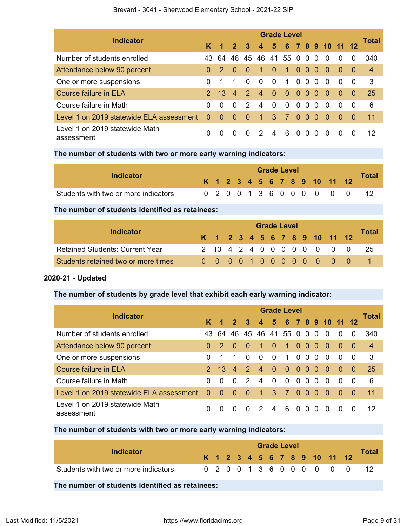|                                              | <b>Grade Level</b> |               |                        |                         |                |                 |                      |          |                |          |                |          |           |                |
|----------------------------------------------|--------------------|---------------|------------------------|-------------------------|----------------|-----------------|----------------------|----------|----------------|----------|----------------|----------|-----------|----------------|
| <b>Indicator</b>                             |                    | $K$ 1 2       |                        | $\overline{\mathbf{3}}$ | $\overline{4}$ |                 | 5 6 7 8 9 10 11 12   |          |                |          |                |          |           | Total          |
| Number of students enrolled                  | 43                 | 64            |                        |                         |                |                 | 46 45 46 41 55 0 0 0 |          |                |          | - 0            | $\Omega$ | $\Omega$  | 340            |
| Attendance below 90 percent                  | $\Omega$           | $\mathcal{P}$ | $\bullet$ <sup>-</sup> | $\sim 0$                | -1             | $\sim$ 0 $\sim$ | $\blacksquare$       |          | 000            |          | $\sim 0$       | $\Omega$ | - 0       | $\overline{4}$ |
| One or more suspensions                      | 0                  |               | 1                      | $\Omega$                | $\Omega$       | - 0             | $\overline{1}$       |          | $00$ $00$      |          | $\overline{0}$ | $\Omega$ | - 0       | - 3            |
| Course failure in ELA                        |                    | $2 \t13 \t4$  |                        | $\mathcal{P}$           | 4 <sup>7</sup> | $\bullet$       | $\bullet$            |          | $000$          |          | $\sim 0$       | $\Omega$ | $\bullet$ | 25             |
| Course failure in Math                       | 0                  | $\Omega$      | $\Omega$               | $\mathcal{P}$           | $\overline{4}$ | - 0             | $\Omega$             |          | 0 <sub>0</sub> | $\Omega$ | $\Omega$       | $\Omega$ | - 0       | 6              |
| Level 1 on 2019 statewide ELA assessment     | $\Omega$           | $\Omega$      | $\Omega$               | $\Omega$                | 1              | $\mathbf{3}$    | $\overline{7}$       | $\Omega$ | $\Omega$       | $\Omega$ | $\Omega$       | $\Omega$ | $\sim 0$  | 11             |
| Level 1 on 2019 statewide Math<br>assessment | 0                  | 0             | $\Omega$               | $\Omega$                | $\mathcal{P}$  | $\overline{4}$  | 6                    | 0        | $\Omega$       | $\Omega$ | $\Omega$       | $\Omega$ | 0         | 12             |

# **The number of students with two or more early warning indicators:**

| Indicator                            |  |  |  | <b>Grade Level</b> |  |  |                              |              |
|--------------------------------------|--|--|--|--------------------|--|--|------------------------------|--------------|
|                                      |  |  |  |                    |  |  | K 1 2 3 4 5 6 7 8 9 10 11 12 | <b>Total</b> |
| Students with two or more indicators |  |  |  |                    |  |  | 0 2 0 0 1 3 6 0 0 0 0 0 0    |              |

# **The number of students identified as retainees:**

|                                        |  |  |  | <b>Grade Level</b> |  |  |                              |       |
|----------------------------------------|--|--|--|--------------------|--|--|------------------------------|-------|
| Indicator                              |  |  |  |                    |  |  | K 1 2 3 4 5 6 7 8 9 10 11 12 | Total |
| <b>Retained Students: Current Year</b> |  |  |  |                    |  |  | 2 13 4 2 4 0 0 0 0 0 0 0 0   | -25   |
| Students retained two or more times    |  |  |  |                    |  |  | 0 0 0 0 1 0 0 0 0 0 0 0 0    |       |

# **2020-21 - Updated**

# **The number of students by grade level that exhibit each early warning indicator:**

| <b>Indicator</b>                             | <b>Grade Level</b> |                |                |                |                |                |                    |          |          |                |              |          |     |                |  |
|----------------------------------------------|--------------------|----------------|----------------|----------------|----------------|----------------|--------------------|----------|----------|----------------|--------------|----------|-----|----------------|--|
|                                              |                    | $\overline{1}$ | 2 <sup>1</sup> | $\mathbf{3}$   | $\overline{4}$ |                | 5 6 7 8 9 10 11 12 |          |          |                |              |          |     | Total          |  |
| Number of students enrolled                  | 43.                | 64             | 46.            | 45             | -46            |                | 41 55 0 0 0        |          |          |                | - 0          | $\Omega$ | 0   | 340            |  |
| Attendance below 90 percent                  | $\Omega$           | $\mathcal{P}$  | $\Omega$       | $\Omega$       | $\overline{1}$ | $\Omega$       | $\mathbf{1}$       | $\Omega$ | $\Omega$ | $\Omega$       | -0           | $\Omega$ | - 0 | $\overline{4}$ |  |
| One or more suspensions                      | 0                  |                | 1              | $\Omega$       | $\Omega$       | $\Omega$       | $\mathbf{1}$       | $\Omega$ |          | 0 <sub>0</sub> | - 0          | $\Omega$ | -0  | 3              |  |
| Course failure in ELA                        | $\mathcal{P}$      | 13             | $\overline{4}$ | $\mathcal{P}$  | $\overline{4}$ | $\Omega$       | $\Omega$           | $\Omega$ | - 0      | - 0            | $\bullet$    | $\Omega$ | 0   | 25             |  |
| Course failure in Math                       | 0                  | $\Omega$       | $\Omega$       | $\mathcal{P}$  | $\overline{4}$ | $\Omega$       | $\Omega$           | $\Omega$ | $\Omega$ | $\Omega$       | $\Omega$     | $\Omega$ | -0  | 6              |  |
| Level 1 on 2019 statewide ELA assessment     | $\Omega$           | - 0            | $\bullet$      | $\overline{0}$ | 47             | 3              | $\mathbf{Z}$       | $\Omega$ | $\Omega$ | $\bullet$      | - 0          | $\Omega$ | -0  | 11             |  |
| Level 1 on 2019 statewide Math<br>assessment | 0                  | $\Omega$       | $\Omega$       | $\Omega$       | $\mathcal{P}$  | $\overline{4}$ | 6                  | $\Omega$ | $\Omega$ | $\Omega$       | <sup>0</sup> | $\Omega$ | 0   | 12             |  |

# **The number of students with two or more early warning indicators:**

| Indicator                            |  |  |  | <b>Grade Level</b> |  |                              | <b>Total</b> |
|--------------------------------------|--|--|--|--------------------|--|------------------------------|--------------|
|                                      |  |  |  |                    |  | K 1 2 3 4 5 6 7 8 9 10 11 12 |              |
| Students with two or more indicators |  |  |  |                    |  | 0 2 0 0 1 3 6 0 0 0 0 0 0    |              |

# **The number of students identified as retainees:**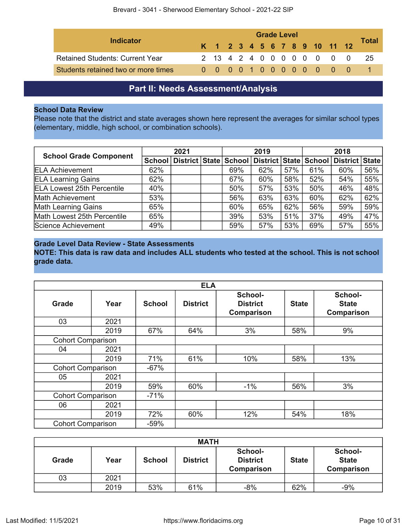| Indicator                              |  | <b>Grade Level</b> |  |  |  |  |  |  |  |  |                              |  |       |
|----------------------------------------|--|--------------------|--|--|--|--|--|--|--|--|------------------------------|--|-------|
|                                        |  |                    |  |  |  |  |  |  |  |  | K 1 2 3 4 5 6 7 8 9 10 11 12 |  | Total |
| <b>Retained Students: Current Year</b> |  |                    |  |  |  |  |  |  |  |  | 2 13 4 2 4 0 0 0 0 0 0 0 0   |  | -25   |
| Students retained two or more times    |  |                    |  |  |  |  |  |  |  |  | 0 0 0 0 1 0 0 0 0 0 0 0 0    |  |       |

# **Part II: Needs Assessment/Analysis**

# <span id="page-9-0"></span>**School Data Review**

Please note that the district and state averages shown here represent the averages for similar school types (elementary, middle, high school, or combination schools).

| <b>School Grade Component</b>     | 2021 |                                    |  |     | 2019                  |     | 2018 |                |     |  |
|-----------------------------------|------|------------------------------------|--|-----|-----------------------|-----|------|----------------|-----|--|
|                                   |      | School   District   State   School |  |     | District State School |     |      | District State |     |  |
| <b>ELA Achievement</b>            | 62%  |                                    |  | 69% | 62%                   | 57% | 61%  | 60%            | 56% |  |
| <b>ELA Learning Gains</b>         | 62%  |                                    |  | 67% | 60%                   | 58% | 52%  | 54%            | 55% |  |
| <b>ELA Lowest 25th Percentile</b> | 40%  |                                    |  | 50% | 57%                   | 53% | 50%  | 46%            | 48% |  |
| Math Achievement                  | 53%  |                                    |  | 56% | 63%                   | 63% | 60%  | 62%            | 62% |  |
| <b>Math Learning Gains</b>        | 65%  |                                    |  | 60% | 65%                   | 62% | 56%  | 59%            | 59% |  |
| Math Lowest 25th Percentile       | 65%  |                                    |  | 39% | 53%                   | 51% | 37%  | 49%            | 47% |  |
| Science Achievement               | 49%  |                                    |  | 59% | 57%                   | 53% | 69%  | 57%            | 55% |  |

# **Grade Level Data Review - State Assessments**

**NOTE: This data is raw data and includes ALL students who tested at the school. This is not school grade data.**

|                          |      |               | <b>ELA</b>      |                                                 |              |                                       |
|--------------------------|------|---------------|-----------------|-------------------------------------------------|--------------|---------------------------------------|
| Grade                    | Year | <b>School</b> | <b>District</b> | School-<br><b>District</b><br><b>Comparison</b> | <b>State</b> | School-<br><b>State</b><br>Comparison |
| 03                       | 2021 |               |                 |                                                 |              |                                       |
|                          | 2019 | 67%           | 64%             | 3%                                              | 58%          | 9%                                    |
| <b>Cohort Comparison</b> |      |               |                 |                                                 |              |                                       |
| 04                       | 2021 |               |                 |                                                 |              |                                       |
|                          | 2019 | 71%           | 61%             | 10%                                             | 58%          | 13%                                   |
| <b>Cohort Comparison</b> |      | $-67%$        |                 |                                                 |              |                                       |
| 05                       | 2021 |               |                 |                                                 |              |                                       |
|                          | 2019 | 59%           | 60%             | $-1%$                                           | 56%          | 3%                                    |
| <b>Cohort Comparison</b> |      | $-71%$        |                 |                                                 |              |                                       |
| 06                       | 2021 |               |                 |                                                 |              |                                       |
|                          | 2019 | 72%           | 60%             | 12%                                             | 54%          | 18%                                   |
| <b>Cohort Comparison</b> |      | $-59%$        |                 |                                                 |              |                                       |

| <b>MATH</b> |      |               |                 |                                                 |              |                                       |  |  |  |
|-------------|------|---------------|-----------------|-------------------------------------------------|--------------|---------------------------------------|--|--|--|
| Grade       | Year | <b>School</b> | <b>District</b> | School-<br><b>District</b><br><b>Comparison</b> | <b>State</b> | School-<br><b>State</b><br>Comparison |  |  |  |
| 03          | 2021 |               |                 |                                                 |              |                                       |  |  |  |
|             | 2019 | 53%           | 61%             | $-8%$                                           | 62%          | $-9%$                                 |  |  |  |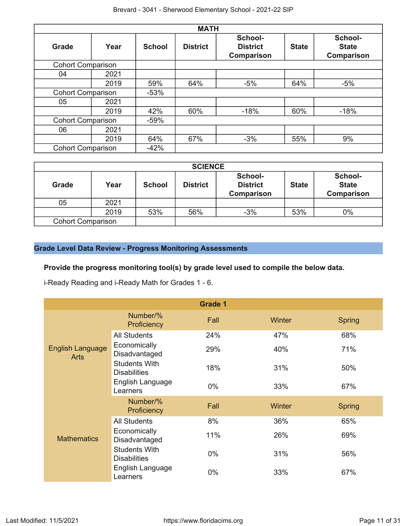|                          |      |               | <b>MATH</b>     |                                          |              |                                       |
|--------------------------|------|---------------|-----------------|------------------------------------------|--------------|---------------------------------------|
| Grade                    | Year | <b>School</b> | <b>District</b> | School-<br><b>District</b><br>Comparison | <b>State</b> | School-<br><b>State</b><br>Comparison |
| <b>Cohort Comparison</b> |      |               |                 |                                          |              |                                       |
| 04                       | 2021 |               |                 |                                          |              |                                       |
|                          | 2019 | 59%           | 64%             | $-5%$                                    | 64%          | $-5%$                                 |
| <b>Cohort Comparison</b> |      | $-53%$        |                 |                                          |              |                                       |
| 05                       | 2021 |               |                 |                                          |              |                                       |
|                          | 2019 | 42%           | 60%             | $-18%$                                   | 60%          | $-18%$                                |
| <b>Cohort Comparison</b> |      | $-59%$        |                 |                                          |              |                                       |
| 06                       | 2021 |               |                 |                                          |              |                                       |
|                          | 2019 | 64%           | 67%             | $-3%$                                    | 55%          | 9%                                    |
| <b>Cohort Comparison</b> |      | $-42%$        |                 |                                          |              |                                       |

| <b>SCIENCE</b>           |      |               |                 |                                          |              |                                              |  |  |  |  |
|--------------------------|------|---------------|-----------------|------------------------------------------|--------------|----------------------------------------------|--|--|--|--|
| <b>Grade</b>             | Year | <b>School</b> | <b>District</b> | School-<br><b>District</b><br>Comparison | <b>State</b> | School-<br><b>State</b><br><b>Comparison</b> |  |  |  |  |
| 05                       | 2021 |               |                 |                                          |              |                                              |  |  |  |  |
|                          | 2019 | 53%           | 56%             | $-3%$                                    | 53%          | $0\%$                                        |  |  |  |  |
| <b>Cohort Comparison</b> |      |               |                 |                                          |              |                                              |  |  |  |  |

# **Grade Level Data Review - Progress Monitoring Assessments**

# **Provide the progress monitoring tool(s) by grade level used to compile the below data.**

i-Ready Reading and i-Ready Math for Grades 1 - 6.

|                                        |                                             | <b>Grade 1</b> |        |               |
|----------------------------------------|---------------------------------------------|----------------|--------|---------------|
|                                        | Number/%<br>Proficiency                     | Fall           | Winter | <b>Spring</b> |
|                                        | <b>All Students</b>                         | 24%            | 47%    | 68%           |
| <b>English Language</b><br><b>Arts</b> | Economically<br>Disadvantaged               | 29%            | 40%    | 71%           |
|                                        | <b>Students With</b><br><b>Disabilities</b> | 18%            | 31%    | 50%           |
|                                        | English Language<br>Learners                | 0%             | 33%    | 67%           |
|                                        | Number/%<br>Proficiency                     | Fall           | Winter | <b>Spring</b> |
|                                        | <b>All Students</b>                         | 8%             | 36%    | 65%           |
| <b>Mathematics</b>                     | Economically<br>Disadvantaged               | 11%            | 26%    | 69%           |
|                                        | <b>Students With</b><br><b>Disabilities</b> | 0%             | 31%    | 56%           |
|                                        | English Language<br>Learners                | $0\%$          | 33%    | 67%           |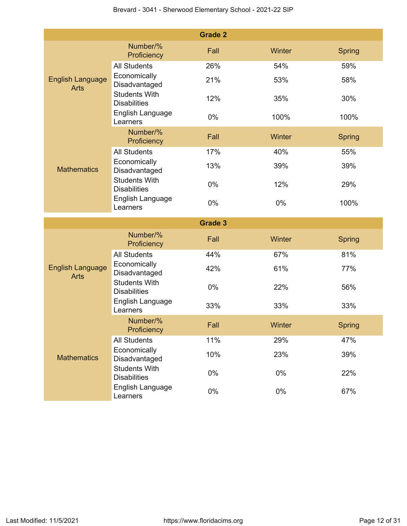|                                        |                                                                 | <b>Grade 2</b> |        |               |
|----------------------------------------|-----------------------------------------------------------------|----------------|--------|---------------|
|                                        | Number/%<br>Proficiency                                         | Fall           | Winter | Spring        |
|                                        | <b>All Students</b>                                             | 26%            | 54%    | 59%           |
| <b>English Language</b><br><b>Arts</b> | Economically<br>Disadvantaged                                   | 21%            | 53%    | 58%           |
|                                        | <b>Students With</b><br><b>Disabilities</b>                     | 12%            | 35%    | 30%           |
|                                        | English Language<br>Learners                                    | 0%             | 100%   | 100%          |
|                                        | Number/%<br>Proficiency                                         | Fall           | Winter | <b>Spring</b> |
|                                        | <b>All Students</b>                                             | 17%            | 40%    | 55%           |
| <b>Mathematics</b>                     | Economically<br>Disadvantaged                                   | 13%            | 39%    | 39%           |
|                                        | <b>Students With</b><br><b>Disabilities</b>                     | 0%             | 12%    | 29%           |
|                                        | English Language<br>Learners                                    | 0%             | $0\%$  | 100%          |
|                                        |                                                                 |                |        |               |
|                                        |                                                                 | <b>Grade 3</b> |        |               |
|                                        | Number/%<br>Proficiency                                         | Fall           | Winter | <b>Spring</b> |
|                                        | <b>All Students</b>                                             | 44%            | 67%    | 81%           |
| <b>English Language</b><br><b>Arts</b> | Economically<br>Disadvantaged                                   | 42%            | 61%    | 77%           |
|                                        | <b>Students With</b><br><b>Disabilities</b>                     | $0\%$          | 22%    | 56%           |
|                                        | English Language<br>Learners                                    | 33%            | 33%    | 33%           |
|                                        | Number/%<br>Proficiency                                         | Fall           | Winter | <b>Spring</b> |
|                                        | All Students                                                    | 11%            | 29%    | 47%           |
| <b>Mathematics</b>                     | Economically<br>Disadvantaged                                   | 10%            | 23%    | 39%           |
|                                        | <b>Students With</b><br><b>Disabilities</b><br>English Language | 0%             | $0\%$  | 22%           |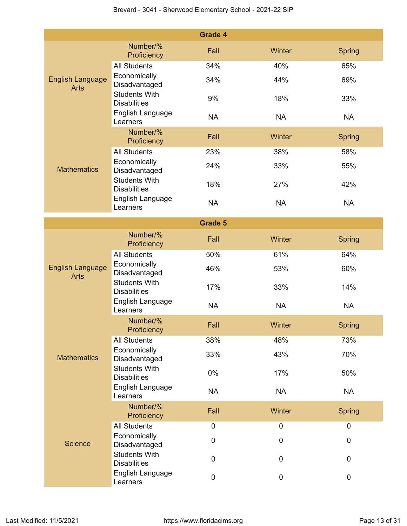|                                        |                                             | <b>Grade 4</b> |             |               |
|----------------------------------------|---------------------------------------------|----------------|-------------|---------------|
|                                        | Number/%<br>Proficiency                     | Fall           | Winter      | <b>Spring</b> |
|                                        | <b>All Students</b>                         | 34%            | 40%         | 65%           |
| <b>English Language</b><br><b>Arts</b> | Economically<br>Disadvantaged               | 34%            | 44%         | 69%           |
|                                        | <b>Students With</b><br><b>Disabilities</b> | 9%             | 18%         | 33%           |
|                                        | English Language<br>Learners                | <b>NA</b>      | <b>NA</b>   | <b>NA</b>     |
|                                        | Number/%<br>Proficiency                     | Fall           | Winter      | <b>Spring</b> |
|                                        | <b>All Students</b>                         | 23%            | 38%         | 58%           |
| <b>Mathematics</b>                     | Economically<br>Disadvantaged               | 24%            | 33%         | 55%           |
|                                        | <b>Students With</b><br><b>Disabilities</b> | 18%            | 27%         | 42%           |
|                                        | English Language<br>Learners                | <b>NA</b>      | <b>NA</b>   | <b>NA</b>     |
|                                        |                                             | <b>Grade 5</b> |             |               |
|                                        | Number/%<br>Proficiency                     | Fall           | Winter      | <b>Spring</b> |
|                                        | <b>All Students</b>                         | 50%            | 61%         | 64%           |
| <b>English Language</b><br><b>Arts</b> | Economically<br>Disadvantaged               | 46%            | 53%         | 60%           |
|                                        | <b>Students With</b><br><b>Disabilities</b> | 17%            | 33%         | 14%           |
|                                        | English Language<br>Learners                | <b>NA</b>      | <b>NA</b>   | <b>NA</b>     |
|                                        | Number/%<br>Proficiency                     | Fall           | Winter      | <b>Spring</b> |
|                                        | <b>All Students</b>                         | 38%            | 48%         | 73%           |
| <b>Mathematics</b>                     | Economically<br>Disadvantaged               | 33%            | 43%         | 70%           |
|                                        | <b>Students With</b><br><b>Disabilities</b> | 0%             | 17%         | 50%           |
|                                        | English Language<br>Learners                | <b>NA</b>      | <b>NA</b>   | <b>NA</b>     |
|                                        | Number/%<br>Proficiency                     | Fall           | Winter      | <b>Spring</b> |
|                                        | <b>All Students</b>                         | $\pmb{0}$      | $\mathbf 0$ | $\mathbf 0$   |
| <b>Science</b>                         | Economically<br>Disadvantaged               | 0              | $\pmb{0}$   | $\pmb{0}$     |
|                                        | <b>Students With</b><br><b>Disabilities</b> | 0              | 0           | $\mathbf 0$   |
|                                        | English Language<br>Learners                | 0              | $\pmb{0}$   | $\pmb{0}$     |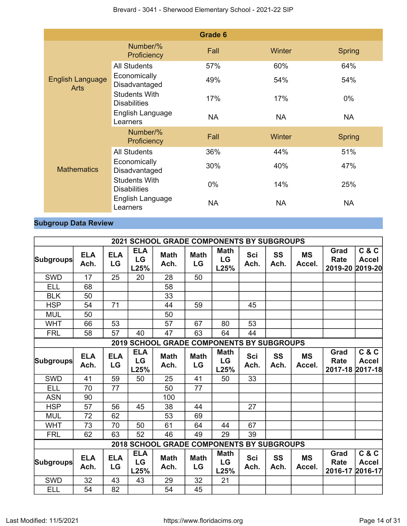|                                        |                                             | <b>Grade 6</b> |           |               |
|----------------------------------------|---------------------------------------------|----------------|-----------|---------------|
|                                        | Number/%<br>Proficiency                     | Fall           | Winter    | <b>Spring</b> |
|                                        | <b>All Students</b>                         | 57%            | 60%       | 64%           |
| <b>English Language</b><br><b>Arts</b> | Economically<br>Disadvantaged               | 49%            | 54%       | 54%           |
|                                        | <b>Students With</b><br><b>Disabilities</b> | 17%            | 17%       | $0\%$         |
|                                        | English Language<br>Learners                | <b>NA</b>      | <b>NA</b> | <b>NA</b>     |
|                                        | Number/%<br>Proficiency                     | Fall           | Winter    | <b>Spring</b> |
|                                        | <b>All Students</b>                         | 36%            | 44%       | 51%           |
| <b>Mathematics</b>                     | Economically<br>Disadvantaged               | 30%            | 40%       | 47%           |
|                                        | <b>Students With</b><br><b>Disabilities</b> | $0\%$          | 14%       | 25%           |
|                                        | English Language<br>Learners                | <b>NA</b>      | <b>NA</b> | <b>NA</b>     |

# **Subgroup Data Review**

|                  |                    |                  |                          | <b>2021 SCHOOL GRADE COMPONENTS BY SUBGROUPS</b> |                   |                                      |                    |                   |                     |                                |                                          |
|------------------|--------------------|------------------|--------------------------|--------------------------------------------------|-------------------|--------------------------------------|--------------------|-------------------|---------------------|--------------------------------|------------------------------------------|
| <b>Subgroups</b> | <b>ELA</b><br>Ach. | <b>ELA</b><br>LG | <b>ELA</b><br>LG<br>L25% | <b>Math</b><br>Ach.                              | <b>Math</b><br>LG | <b>Math</b><br>LG<br>L25%            | <b>Sci</b><br>Ach. | SS<br>Ach.        | <b>MS</b><br>Accel. | Grad<br>Rate<br>2019-20        | C & C<br><b>Accel</b><br>2019-20         |
| <b>SWD</b>       | 17                 | 25               | 20                       | 28                                               | 50                |                                      |                    |                   |                     |                                |                                          |
| <b>ELL</b>       | 68                 |                  |                          | 58                                               |                   |                                      |                    |                   |                     |                                |                                          |
| <b>BLK</b>       | 50                 |                  |                          | 33                                               |                   |                                      |                    |                   |                     |                                |                                          |
| <b>HSP</b>       | 54                 | 71               |                          | 44                                               | 59                |                                      | 45                 |                   |                     |                                |                                          |
| <b>MUL</b>       | 50                 |                  |                          | 50                                               |                   |                                      |                    |                   |                     |                                |                                          |
| <b>WHT</b>       | 66                 | 53               |                          | 57                                               | 67                | 80                                   | 53                 |                   |                     |                                |                                          |
| <b>FRL</b>       | 58                 | 57               | 40                       | 47                                               | 63                | 64                                   | 44                 |                   |                     |                                |                                          |
|                  |                    |                  |                          | 2019 SCHOOL GRADE COMPONENTS BY SUBGROUPS        |                   |                                      |                    |                   |                     |                                |                                          |
| <b>Subgroups</b> | <b>ELA</b><br>Ach. | <b>ELA</b><br>LG | <b>ELA</b><br>LG<br>L25% | <b>Math</b><br>Ach.                              | <b>Math</b><br>LG | <b>Math</b><br>LG<br>L25%            | Sci<br>Ach.        | <b>SS</b><br>Ach. | <b>MS</b><br>Accel. | Grad<br><b>Rate</b>            | C & C<br><b>Accel</b><br>2017-18 2017-18 |
| <b>SWD</b>       | 41                 | 59               | 50                       | 25                                               | 41                | 50                                   | 33                 |                   |                     |                                |                                          |
| <b>ELL</b>       | 70                 | 77               |                          | 50                                               | 77                |                                      |                    |                   |                     |                                |                                          |
| <b>ASN</b>       | 90                 |                  |                          | 100                                              |                   |                                      |                    |                   |                     |                                |                                          |
| <b>HSP</b>       | 57                 | 56               | 45                       | 38                                               | 44                |                                      | 27                 |                   |                     |                                |                                          |
| <b>MUL</b>       | 72                 | 62               |                          | 53                                               | 69                |                                      |                    |                   |                     |                                |                                          |
| <b>WHT</b>       | 73                 | 70               | 50                       | 61                                               | 64                | 44                                   | 67                 |                   |                     |                                |                                          |
| <b>FRL</b>       | 62                 | 63               | 52                       | 46                                               | 49                | 29                                   | 39                 |                   |                     |                                |                                          |
|                  |                    |                  | <b>2018 SCHOOL</b>       |                                                  |                   | <b>GRADE COMPONENTS BY SUBGROUPS</b> |                    |                   |                     |                                |                                          |
| <b>Subgroups</b> | <b>ELA</b><br>Ach. | <b>ELA</b><br>LG | <b>ELA</b><br>LG<br>L25% | <b>Math</b><br>Ach.                              | <b>Math</b><br>LG | <b>Math</b><br>LG<br>L25%            | Sci<br>Ach.        | SS<br>Ach.        | <b>MS</b><br>Accel. | Grad<br><b>Rate</b><br>2016-17 | C & C<br><b>Accel</b><br>2016-17         |
| <b>SWD</b>       | 32                 | 43               | 43                       | 29                                               | 32                | 21                                   |                    |                   |                     |                                |                                          |
| <b>ELL</b>       | 54                 | 82               |                          | 54                                               | 45                |                                      |                    |                   |                     |                                |                                          |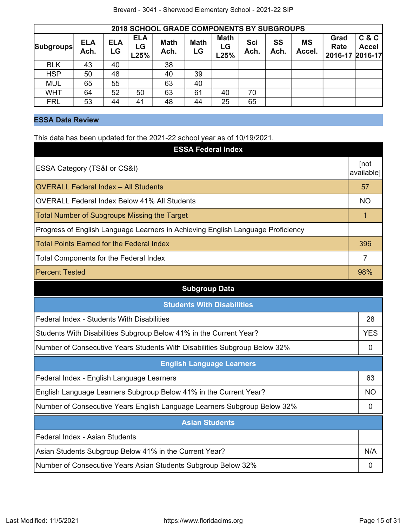|                  | <b>2018 SCHOOL GRADE COMPONENTS BY SUBGROUPS</b> |                  |                          |                     |                   |                           |             |            |                     |                                 |                       |  |
|------------------|--------------------------------------------------|------------------|--------------------------|---------------------|-------------------|---------------------------|-------------|------------|---------------------|---------------------------------|-----------------------|--|
| <b>Subgroups</b> | <b>ELA</b><br>Ach.                               | <b>ELA</b><br>LG | <b>ELA</b><br>LG<br>L25% | <b>Math</b><br>Ach. | <b>Math</b><br>LG | <b>Math</b><br>LG<br>L25% | Sci<br>Ach. | SS<br>Ach. | <b>MS</b><br>Accel. | Grad<br>Rate<br>2016-17 2016-17 | C & C<br><b>Accel</b> |  |
| <b>BLK</b>       | 43                                               | 40               |                          | 38                  |                   |                           |             |            |                     |                                 |                       |  |
| <b>HSP</b>       | 50                                               | 48               |                          | 40                  | 39                |                           |             |            |                     |                                 |                       |  |
| <b>MUL</b>       | 65                                               | 55               |                          | 63                  | 40                |                           |             |            |                     |                                 |                       |  |
| <b>WHT</b>       | 64                                               | 52               | 50                       | 63                  | 61                | 40                        | 70          |            |                     |                                 |                       |  |
| <b>FRL</b>       | 53                                               | 44               | 41                       | 48                  | 44                | 25                        | 65          |            |                     |                                 |                       |  |

# **ESSA Data Review**

This data has been updated for the 2021-22 school year as of 10/19/2021.

| This data has been apadred for the EULT LE context year as or for foresent<br><b>ESSA Federal Index</b> |                    |  |  |  |
|---------------------------------------------------------------------------------------------------------|--------------------|--|--|--|
| ESSA Category (TS&I or CS&I)                                                                            | [not<br>available] |  |  |  |
| <b>OVERALL Federal Index - All Students</b>                                                             | 57                 |  |  |  |
| <b>OVERALL Federal Index Below 41% All Students</b>                                                     | <b>NO</b>          |  |  |  |
| <b>Total Number of Subgroups Missing the Target</b>                                                     | 1                  |  |  |  |
| Progress of English Language Learners in Achieving English Language Proficiency                         |                    |  |  |  |
| <b>Total Points Earned for the Federal Index</b>                                                        | 396                |  |  |  |
| <b>Total Components for the Federal Index</b>                                                           | $\overline{7}$     |  |  |  |
| <b>Percent Tested</b>                                                                                   | 98%                |  |  |  |
| <b>Subgroup Data</b>                                                                                    |                    |  |  |  |
| <b>Students With Disabilities</b>                                                                       |                    |  |  |  |
| Federal Index - Students With Disabilities                                                              | 28                 |  |  |  |
| Students With Disabilities Subgroup Below 41% in the Current Year?                                      | <b>YES</b>         |  |  |  |
| Number of Consecutive Years Students With Disabilities Subgroup Below 32%                               | 0                  |  |  |  |
| <b>English Language Learners</b>                                                                        |                    |  |  |  |
| Federal Index - English Language Learners                                                               | 63                 |  |  |  |
| English Language Learners Subgroup Below 41% in the Current Year?                                       | <b>NO</b>          |  |  |  |
| Number of Consecutive Years English Language Learners Subgroup Below 32%                                | 0                  |  |  |  |
| <b>Asian Students</b>                                                                                   |                    |  |  |  |
| Federal Index - Asian Students                                                                          |                    |  |  |  |
| Asian Students Subgroup Below 41% in the Current Year?                                                  | N/A                |  |  |  |
| Number of Consecutive Years Asian Students Subgroup Below 32%                                           | 0                  |  |  |  |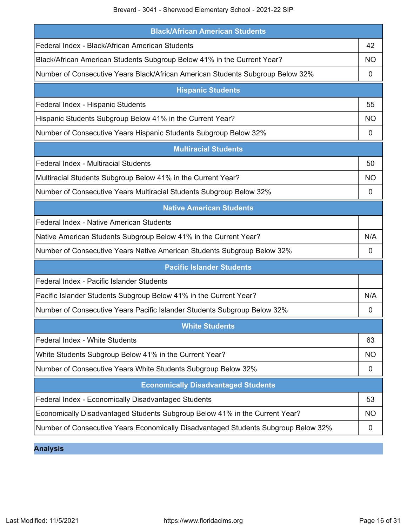Brevard - 3041 - Sherwood Elementary School - 2021-22 SIP

| <b>Black/African American Students</b>                                             |           |
|------------------------------------------------------------------------------------|-----------|
| Federal Index - Black/African American Students                                    | 42        |
| Black/African American Students Subgroup Below 41% in the Current Year?            | NO.       |
| Number of Consecutive Years Black/African American Students Subgroup Below 32%     | 0         |
| <b>Hispanic Students</b>                                                           |           |
| Federal Index - Hispanic Students                                                  | 55        |
| Hispanic Students Subgroup Below 41% in the Current Year?                          | <b>NO</b> |
| Number of Consecutive Years Hispanic Students Subgroup Below 32%                   | 0         |
| <b>Multiracial Students</b>                                                        |           |
| <b>Federal Index - Multiracial Students</b>                                        | 50        |
| Multiracial Students Subgroup Below 41% in the Current Year?                       | <b>NO</b> |
| Number of Consecutive Years Multiracial Students Subgroup Below 32%                | 0         |
| <b>Native American Students</b>                                                    |           |
| Federal Index - Native American Students                                           |           |
| Native American Students Subgroup Below 41% in the Current Year?                   | N/A       |
| Number of Consecutive Years Native American Students Subgroup Below 32%            | 0         |
| <b>Pacific Islander Students</b>                                                   |           |
| Federal Index - Pacific Islander Students                                          |           |
| Pacific Islander Students Subgroup Below 41% in the Current Year?                  | N/A       |
| Number of Consecutive Years Pacific Islander Students Subgroup Below 32%           | 0         |
| <b>White Students</b>                                                              |           |
| Federal Index - White Students                                                     | 63        |
| White Students Subgroup Below 41% in the Current Year?                             | <b>NO</b> |
| Number of Consecutive Years White Students Subgroup Below 32%                      | 0         |
| <b>Economically Disadvantaged Students</b>                                         |           |
| Federal Index - Economically Disadvantaged Students                                | 53        |
| Economically Disadvantaged Students Subgroup Below 41% in the Current Year?        | <b>NO</b> |
| Number of Consecutive Years Economically Disadvantaged Students Subgroup Below 32% | 0         |

**Analysis**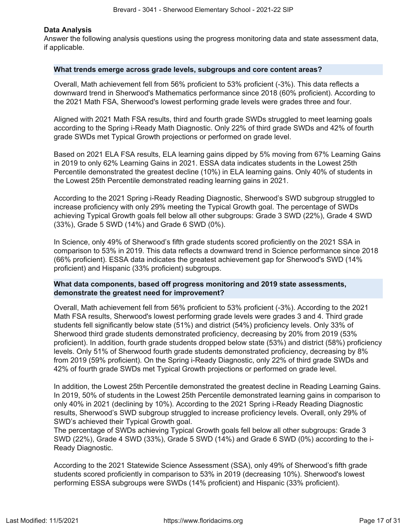#### **Data Analysis**

Answer the following analysis questions using the progress monitoring data and state assessment data, if applicable.

#### **What trends emerge across grade levels, subgroups and core content areas?**

Overall, Math achievement fell from 56% proficient to 53% proficient (-3%). This data reflects a downward trend in Sherwood's Mathematics performance since 2018 (60% proficient). According to the 2021 Math FSA, Sherwood's lowest performing grade levels were grades three and four.

Aligned with 2021 Math FSA results, third and fourth grade SWDs struggled to meet learning goals according to the Spring i-Ready Math Diagnostic. Only 22% of third grade SWDs and 42% of fourth grade SWDs met Typical Growth projections or performed on grade level.

Based on 2021 ELA FSA results, ELA learning gains dipped by 5% moving from 67% Learning Gains in 2019 to only 62% Learning Gains in 2021. ESSA data indicates students in the Lowest 25th Percentile demonstrated the greatest decline (10%) in ELA learning gains. Only 40% of students in the Lowest 25th Percentile demonstrated reading learning gains in 2021.

According to the 2021 Spring i-Ready Reading Diagnostic, Sherwood's SWD subgroup struggled to increase proficiency with only 29% meeting the Typical Growth goal. The percentage of SWDs achieving Typical Growth goals fell below all other subgroups: Grade 3 SWD (22%), Grade 4 SWD (33%), Grade 5 SWD (14%) and Grade 6 SWD (0%).

In Science, only 49% of Sherwood's fifth grade students scored proficiently on the 2021 SSA in comparison to 53% in 2019. This data reflects a downward trend in Science performance since 2018 (66% proficient). ESSA data indicates the greatest achievement gap for Sherwood's SWD (14% proficient) and Hispanic (33% proficient) subgroups.

## **What data components, based off progress monitoring and 2019 state assessments, demonstrate the greatest need for improvement?**

Overall, Math achievement fell from 56% proficient to 53% proficient (-3%). According to the 2021 Math FSA results, Sherwood's lowest performing grade levels were grades 3 and 4. Third grade students fell significantly below state (51%) and district (54%) proficiency levels. Only 33% of Sherwood third grade students demonstrated proficiency, decreasing by 20% from 2019 (53% proficient). In addition, fourth grade students dropped below state (53%) and district (58%) proficiency levels. Only 51% of Sherwood fourth grade students demonstrated proficiency, decreasing by 8% from 2019 (59% proficient). On the Spring i-Ready Diagnostic, only 22% of third grade SWDs and 42% of fourth grade SWDs met Typical Growth projections or performed on grade level.

In addition, the Lowest 25th Percentile demonstrated the greatest decline in Reading Learning Gains. In 2019, 50% of students in the Lowest 25th Percentile demonstrated learning gains in comparison to only 40% in 2021 (declining by 10%). According to the 2021 Spring i-Ready Reading Diagnostic results, Sherwood's SWD subgroup struggled to increase proficiency levels. Overall, only 29% of SWD's achieved their Typical Growth goal.

The percentage of SWDs achieving Typical Growth goals fell below all other subgroups: Grade 3 SWD (22%), Grade 4 SWD (33%), Grade 5 SWD (14%) and Grade 6 SWD (0%) according to the i-Ready Diagnostic.

According to the 2021 Statewide Science Assessment (SSA), only 49% of Sherwood's fifth grade students scored proficiently in comparison to 53% in 2019 (decreasing 10%). Sherwood's lowest performing ESSA subgroups were SWDs (14% proficient) and Hispanic (33% proficient).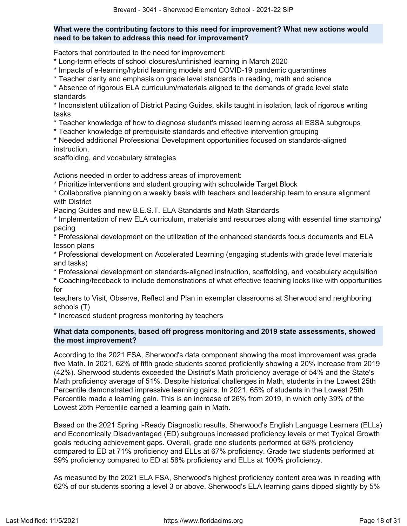# **What were the contributing factors to this need for improvement? What new actions would need to be taken to address this need for improvement?**

Factors that contributed to the need for improvement:

\* Long-term effects of school closures/unfinished learning in March 2020

\* Impacts of e-learning/hybrid learning models and COVID-19 pandemic quarantines

\* Teacher clarity and emphasis on grade level standards in reading, math and science

\* Absence of rigorous ELA curriculum/materials aligned to the demands of grade level state standards

\* Inconsistent utilization of District Pacing Guides, skills taught in isolation, lack of rigorous writing tasks

\* Teacher knowledge of how to diagnose student's missed learning across all ESSA subgroups

\* Teacher knowledge of prerequisite standards and effective intervention grouping

\* Needed additional Professional Development opportunities focused on standards-aligned instruction,

scaffolding, and vocabulary strategies

Actions needed in order to address areas of improvement:

\* Prioritize interventions and student grouping with schoolwide Target Block

\* Collaborative planning on a weekly basis with teachers and leadership team to ensure alignment with District

Pacing Guides and new B.E.S.T. ELA Standards and Math Standards

\* Implementation of new ELA curriculum, materials and resources along with essential time stamping/ pacing

\* Professional development on the utilization of the enhanced standards focus documents and ELA lesson plans

\* Professional development on Accelerated Learning (engaging students with grade level materials and tasks)

\* Professional development on standards-aligned instruction, scaffolding, and vocabulary acquisition

\* Coaching/feedback to include demonstrations of what effective teaching looks like with opportunities for

teachers to Visit, Observe, Reflect and Plan in exemplar classrooms at Sherwood and neighboring schools (T)

\* Increased student progress monitoring by teachers

# **What data components, based off progress monitoring and 2019 state assessments, showed the most improvement?**

According to the 2021 FSA, Sherwood's data component showing the most improvement was grade five Math. In 2021, 62% of fifth grade students scored proficiently showing a 20% increase from 2019 (42%). Sherwood students exceeded the District's Math proficiency average of 54% and the State's Math proficiency average of 51%. Despite historical challenges in Math, students in the Lowest 25th Percentile demonstrated impressive learning gains. In 2021, 65% of students in the Lowest 25th Percentile made a learning gain. This is an increase of 26% from 2019, in which only 39% of the Lowest 25th Percentile earned a learning gain in Math.

Based on the 2021 Spring i-Ready Diagnostic results, Sherwood's English Language Learners (ELLs) and Economically Disadvantaged (ED) subgroups increased proficiency levels or met Typical Growth goals reducing achievement gaps. Overall, grade one students performed at 68% proficiency compared to ED at 71% proficiency and ELLs at 67% proficiency. Grade two students performed at 59% proficiency compared to ED at 58% proficiency and ELLs at 100% proficiency.

As measured by the 2021 ELA FSA, Sherwood's highest proficiency content area was in reading with 62% of our students scoring a level 3 or above. Sherwood's ELA learning gains dipped slightly by 5%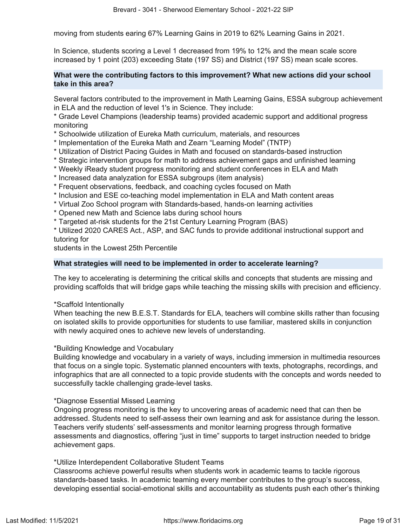moving from students earing 67% Learning Gains in 2019 to 62% Learning Gains in 2021.

In Science, students scoring a Level 1 decreased from 19% to 12% and the mean scale score increased by 1 point (203) exceeding State (197 SS) and District (197 SS) mean scale scores.

# **What were the contributing factors to this improvement? What new actions did your school take in this area?**

Several factors contributed to the improvement in Math Learning Gains, ESSA subgroup achievement in ELA and the reduction of level 1's in Science. They include:

\* Grade Level Champions (leadership teams) provided academic support and additional progress monitoring

- \* Schoolwide utilization of Eureka Math curriculum, materials, and resources
- \* Implementation of the Eureka Math and Zearn "Learning Model" (TNTP)
- \* Utilization of District Pacing Guides in Math and focused on standards-based instruction
- \* Strategic intervention groups for math to address achievement gaps and unfinished learning
- \* Weekly iReady student progress monitoring and student conferences in ELA and Math
- \* Increased data analyzation for ESSA subgroups (item analysis)
- \* Frequent observations, feedback, and coaching cycles focused on Math
- \* Inclusion and ESE co-teaching model implementation in ELA and Math content areas
- \* Virtual Zoo School program with Standards-based, hands-on learning activities
- \* Opened new Math and Science labs during school hours
- \* Targeted at-risk students for the 21st Century Learning Program (BAS)
- \* Utilized 2020 CARES Act., ASP, and SAC funds to provide additional instructional support and tutoring for

students in the Lowest 25th Percentile

## **What strategies will need to be implemented in order to accelerate learning?**

The key to accelerating is determining the critical skills and concepts that students are missing and providing scaffolds that will bridge gaps while teaching the missing skills with precision and efficiency.

## \*Scaffold Intentionally

When teaching the new B.E.S.T. Standards for ELA, teachers will combine skills rather than focusing on isolated skills to provide opportunities for students to use familiar, mastered skills in conjunction with newly acquired ones to achieve new levels of understanding.

#### \*Building Knowledge and Vocabulary

Building knowledge and vocabulary in a variety of ways, including immersion in multimedia resources that focus on a single topic. Systematic planned encounters with texts, photographs, recordings, and infographics that are all connected to a topic provide students with the concepts and words needed to successfully tackle challenging grade-level tasks.

## \*Diagnose Essential Missed Learning

Ongoing progress monitoring is the key to uncovering areas of academic need that can then be addressed. Students need to self-assess their own learning and ask for assistance during the lesson. Teachers verify students' self-assessments and monitor learning progress through formative assessments and diagnostics, offering "just in time" supports to target instruction needed to bridge achievement gaps.

## \*Utilize Interdependent Collaborative Student Teams

Classrooms achieve powerful results when students work in academic teams to tackle rigorous standards-based tasks. In academic teaming every member contributes to the group's success, developing essential social-emotional skills and accountability as students push each other's thinking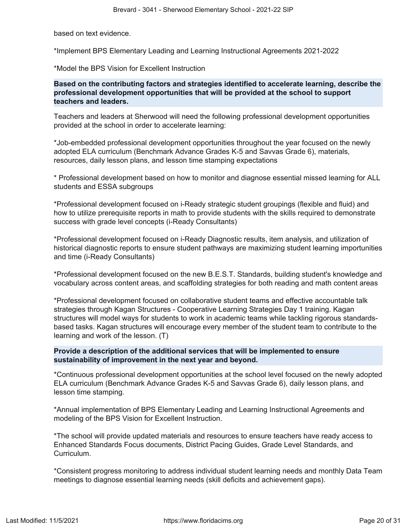based on text evidence.

\*Implement BPS Elementary Leading and Learning Instructional Agreements 2021-2022

\*Model the BPS Vision for Excellent Instruction

**Based on the contributing factors and strategies identified to accelerate learning, describe the professional development opportunities that will be provided at the school to support teachers and leaders.**

Teachers and leaders at Sherwood will need the following professional development opportunities provided at the school in order to accelerate learning:

\*Job-embedded professional development opportunities throughout the year focused on the newly adopted ELA curriculum (Benchmark Advance Grades K-5 and Savvas Grade 6), materials, resources, daily lesson plans, and lesson time stamping expectations

\* Professional development based on how to monitor and diagnose essential missed learning for ALL students and ESSA subgroups

\*Professional development focused on i-Ready strategic student groupings (flexible and fluid) and how to utilize prerequisite reports in math to provide students with the skills required to demonstrate success with grade level concepts (i-Ready Consultants)

\*Professional development focused on i-Ready Diagnostic results, item analysis, and utilization of historical diagnostic reports to ensure student pathways are maximizing student learning importunities and time (i-Ready Consultants)

\*Professional development focused on the new B.E.S.T. Standards, building student's knowledge and vocabulary across content areas, and scaffolding strategies for both reading and math content areas

\*Professional development focused on collaborative student teams and effective accountable talk strategies through Kagan Structures - Cooperative Learning Strategies Day 1 training. Kagan structures will model ways for students to work in academic teams while tackling rigorous standardsbased tasks. Kagan structures will encourage every member of the student team to contribute to the learning and work of the lesson. (T)

# **Provide a description of the additional services that will be implemented to ensure sustainability of improvement in the next year and beyond.**

\*Continuous professional development opportunities at the school level focused on the newly adopted ELA curriculum (Benchmark Advance Grades K-5 and Savvas Grade 6), daily lesson plans, and lesson time stamping.

\*Annual implementation of BPS Elementary Leading and Learning Instructional Agreements and modeling of the BPS Vision for Excellent Instruction.

\*The school will provide updated materials and resources to ensure teachers have ready access to Enhanced Standards Focus documents, District Pacing Guides, Grade Level Standards, and Curriculum.

\*Consistent progress monitoring to address individual student learning needs and monthly Data Team meetings to diagnose essential learning needs (skill deficits and achievement gaps).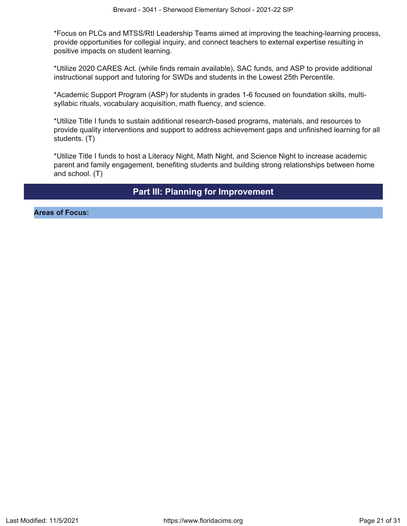\*Focus on PLCs and MTSS/RtI Leadership Teams aimed at improving the teaching-learning process, provide opportunities for collegial inquiry, and connect teachers to external expertise resulting in positive impacts on student learning.

\*Utilize 2020 CARES Act. (while finds remain available), SAC funds, and ASP to provide additional instructional support and tutoring for SWDs and students in the Lowest 25th Percentile.

\*Academic Support Program (ASP) for students in grades 1-6 focused on foundation skills, multisyllabic rituals, vocabulary acquisition, math fluency, and science.

\*Utilize Title I funds to sustain additional research-based programs, materials, and resources to provide quality interventions and support to address achievement gaps and unfinished learning for all students. (T)

\*Utilize Title I funds to host a Literacy Night, Math Night, and Science Night to increase academic parent and family engagement, benefiting students and building strong relationships between home and school. (T)

# **Part III: Planning for Improvement**

<span id="page-20-0"></span>**Areas of Focus:**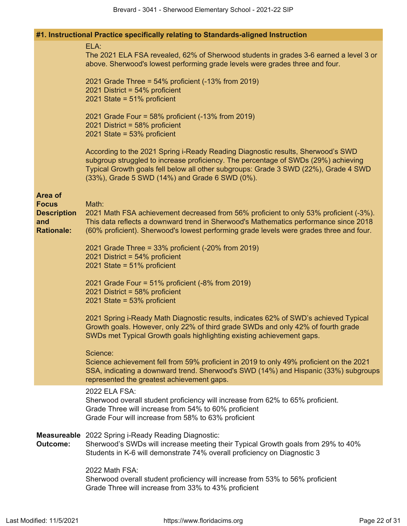| #1. Instructional Practice specifically relating to Standards-aligned Instruction |  |  |  |  |  |  |  |
|-----------------------------------------------------------------------------------|--|--|--|--|--|--|--|
|-----------------------------------------------------------------------------------|--|--|--|--|--|--|--|

|                                                                                  | ELA:<br>The 2021 ELA FSA revealed, 62% of Sherwood students in grades 3-6 earned a level 3 or<br>above. Sherwood's lowest performing grade levels were grades three and four.                                                                                                                                  |
|----------------------------------------------------------------------------------|----------------------------------------------------------------------------------------------------------------------------------------------------------------------------------------------------------------------------------------------------------------------------------------------------------------|
|                                                                                  | 2021 Grade Three = 54% proficient (-13% from 2019)<br>2021 District = 54% proficient<br>2021 State = $51\%$ proficient                                                                                                                                                                                         |
|                                                                                  | 2021 Grade Four = 58% proficient (-13% from 2019)<br>2021 District = 58% proficient<br>2021 State = $53\%$ proficient                                                                                                                                                                                          |
|                                                                                  | According to the 2021 Spring i-Ready Reading Diagnostic results, Sherwood's SWD<br>subgroup struggled to increase proficiency. The percentage of SWDs (29%) achieving<br>Typical Growth goals fell below all other subgroups: Grade 3 SWD (22%), Grade 4 SWD<br>(33%), Grade 5 SWD (14%) and Grade 6 SWD (0%). |
| <b>Area of</b><br><b>Focus</b><br><b>Description</b><br>and<br><b>Rationale:</b> | Math:<br>2021 Math FSA achievement decreased from 56% proficient to only 53% proficient (-3%).<br>This data reflects a downward trend in Sherwood's Mathematics performance since 2018<br>(60% proficient). Sherwood's lowest performing grade levels were grades three and four.                              |
|                                                                                  | 2021 Grade Three = $33\%$ proficient (-20% from 2019)<br>2021 District = $54\%$ proficient<br>2021 State = $51\%$ proficient                                                                                                                                                                                   |
|                                                                                  | 2021 Grade Four = 51% proficient (-8% from 2019)<br>2021 District = 58% proficient<br>2021 State = 53% proficient                                                                                                                                                                                              |
|                                                                                  | 2021 Spring i-Ready Math Diagnostic results, indicates 62% of SWD's achieved Typical<br>Growth goals. However, only 22% of third grade SWDs and only 42% of fourth grade<br>SWDs met Typical Growth goals highlighting existing achievement gaps.                                                              |
|                                                                                  | Science:<br>Science achievement fell from 59% proficient in 2019 to only 49% proficient on the 2021<br>SSA, indicating a downward trend. Sherwood's SWD (14%) and Hispanic (33%) subgroups<br>represented the greatest achievement gaps.                                                                       |
|                                                                                  | 2022 ELA FSA:<br>Sherwood overall student proficiency will increase from 62% to 65% proficient.<br>Grade Three will increase from 54% to 60% proficient<br>Grade Four will increase from 58% to 63% proficient                                                                                                 |
| <b>Outcome:</b>                                                                  | <b>Measureable</b> 2022 Spring i-Ready Reading Diagnostic:<br>Sherwood's SWDs will increase meeting their Typical Growth goals from 29% to 40%<br>Students in K-6 will demonstrate 74% overall proficiency on Diagnostic 3                                                                                     |
|                                                                                  | 2022 Math FSA:<br>Sherwood overall student proficiency will increase from 53% to 56% proficient<br>Grade Three will increase from 33% to 43% proficient                                                                                                                                                        |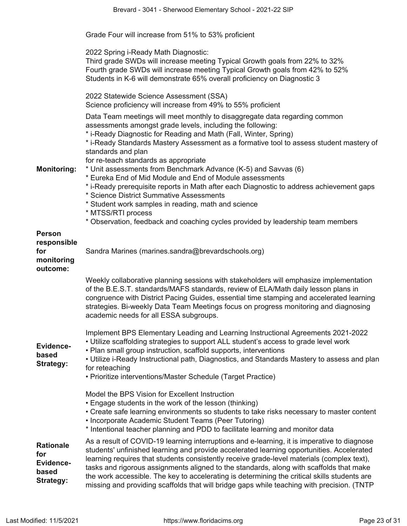|                                                                          | Grade Four will increase from 51% to 53% proficient                                                                                                                                                                                                                                                                                                                                                                                                                                                                                                                                                                                                                                                                       |
|--------------------------------------------------------------------------|---------------------------------------------------------------------------------------------------------------------------------------------------------------------------------------------------------------------------------------------------------------------------------------------------------------------------------------------------------------------------------------------------------------------------------------------------------------------------------------------------------------------------------------------------------------------------------------------------------------------------------------------------------------------------------------------------------------------------|
|                                                                          | 2022 Spring i-Ready Math Diagnostic:<br>Third grade SWDs will increase meeting Typical Growth goals from 22% to 32%<br>Fourth grade SWDs will increase meeting Typical Growth goals from 42% to 52%<br>Students in K-6 will demonstrate 65% overall proficiency on Diagnostic 3                                                                                                                                                                                                                                                                                                                                                                                                                                           |
|                                                                          | 2022 Statewide Science Assessment (SSA)<br>Science proficiency will increase from 49% to 55% proficient                                                                                                                                                                                                                                                                                                                                                                                                                                                                                                                                                                                                                   |
| <b>Monitoring:</b>                                                       | Data Team meetings will meet monthly to disaggregate data regarding common<br>assessments amongst grade levels, including the following:<br>* i-Ready Diagnostic for Reading and Math (Fall, Winter, Spring)<br>* i-Ready Standards Mastery Assessment as a formative tool to assess student mastery of<br>standards and plan<br>for re-teach standards as appropriate<br>* Unit assessments from Benchmark Advance (K-5) and Savvas (6)<br>* Eureka End of Mid Module and End of Module assessments<br>* i-Ready prerequisite reports in Math after each Diagnostic to address achievement gaps<br>* Science District Summative Assessments<br>* Student work samples in reading, math and science<br>* MTSS/RTI process |
| <b>Person</b><br>responsible<br>for<br>monitoring                        | * Observation, feedback and coaching cycles provided by leadership team members<br>Sandra Marines (marines.sandra@brevardschools.org)                                                                                                                                                                                                                                                                                                                                                                                                                                                                                                                                                                                     |
| outcome:                                                                 |                                                                                                                                                                                                                                                                                                                                                                                                                                                                                                                                                                                                                                                                                                                           |
|                                                                          | Weekly collaborative planning sessions with stakeholders will emphasize implementation<br>of the B.E.S.T. standards/MAFS standards, review of ELA/Math daily lesson plans in<br>congruence with District Pacing Guides, essential time stamping and accelerated learning<br>strategies. Bi-weekly Data Team Meetings focus on progress monitoring and diagnosing<br>academic needs for all ESSA subgroups.                                                                                                                                                                                                                                                                                                                |
| Evidence-<br>based<br>Strategy:                                          | Implement BPS Elementary Leading and Learning Instructional Agreements 2021-2022<br>• Utilize scaffolding strategies to support ALL student's access to grade level work<br>• Plan small group instruction, scaffold supports, interventions<br>• Utilize i-Ready Instructional path, Diagnostics, and Standards Mastery to assess and plan<br>for reteaching<br>• Prioritize interventions/Master Schedule (Target Practice)                                                                                                                                                                                                                                                                                             |
|                                                                          | Model the BPS Vision for Excellent Instruction<br>• Engage students in the work of the lesson (thinking)<br>• Create safe learning environments so students to take risks necessary to master content<br>• Incorporate Academic Student Teams (Peer Tutoring)<br>* Intentional teacher planning and PDD to facilitate learning and monitor data                                                                                                                                                                                                                                                                                                                                                                           |
| <b>Rationale</b><br>for<br><b>Evidence-</b><br>based<br><b>Strategy:</b> | As a result of COVID-19 learning interruptions and e-learning, it is imperative to diagnose<br>students' unfinished learning and provide accelerated learning opportunities. Accelerated<br>learning requires that students consistently receive grade-level materials (complex text),<br>tasks and rigorous assignments aligned to the standards, along with scaffolds that make<br>the work accessible. The key to accelerating is determining the critical skills students are<br>missing and providing scaffolds that will bridge gaps while teaching with precision. (TNTP                                                                                                                                           |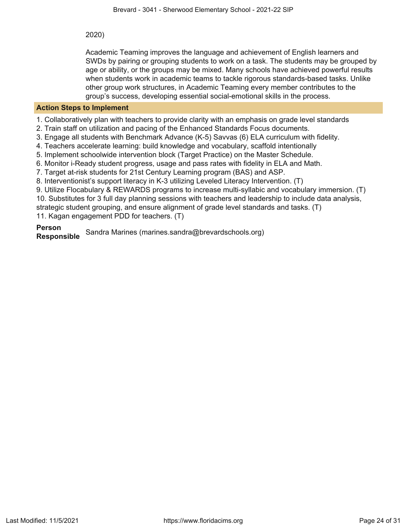2020)

Academic Teaming improves the language and achievement of English learners and SWDs by pairing or grouping students to work on a task. The students may be grouped by age or ability, or the groups may be mixed. Many schools have achieved powerful results when students work in academic teams to tackle rigorous standards-based tasks. Unlike other group work structures, in Academic Teaming every member contributes to the group's success, developing essential social-emotional skills in the process.

# **Action Steps to Implement**

1. Collaboratively plan with teachers to provide clarity with an emphasis on grade level standards

2. Train staff on utilization and pacing of the Enhanced Standards Focus documents.

3. Engage all students with Benchmark Advance (K-5) Savvas (6) ELA curriculum with fidelity.

4. Teachers accelerate learning: build knowledge and vocabulary, scaffold intentionally

5. Implement schoolwide intervention block (Target Practice) on the Master Schedule.

6. Monitor i-Ready student progress, usage and pass rates with fidelity in ELA and Math.

7. Target at-risk students for 21st Century Learning program (BAS) and ASP.

8. Interventionist's support literacy in K-3 utilizing Leveled Literacy Intervention. (T)

9. Utilize Flocabulary & REWARDS programs to increase multi-syllabic and vocabulary immersion. (T)

10. Substitutes for 3 full day planning sessions with teachers and leadership to include data analysis,

strategic student grouping, and ensure alignment of grade level standards and tasks. (T)

11. Kagan engagement PDD for teachers. (T)

**Person Responsible** Sandra Marines (marines.sandra@brevardschools.org)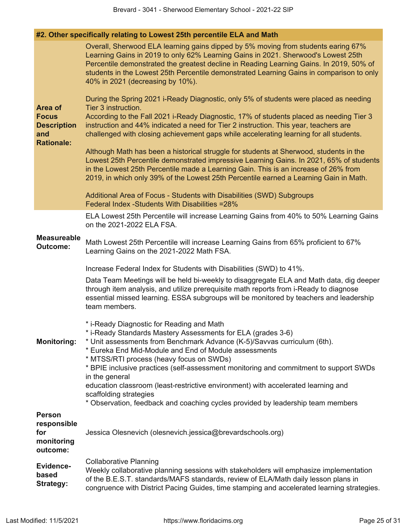|                                                                | #2. Other specifically relating to Lowest 25th percentile ELA and Math                                                                                                                                                                                                                                                                                                                            |
|----------------------------------------------------------------|---------------------------------------------------------------------------------------------------------------------------------------------------------------------------------------------------------------------------------------------------------------------------------------------------------------------------------------------------------------------------------------------------|
|                                                                | Overall, Sherwood ELA learning gains dipped by 5% moving from students earing 67%<br>Learning Gains in 2019 to only 62% Learning Gains in 2021. Sherwood's Lowest 25th<br>Percentile demonstrated the greatest decline in Reading Learning Gains. In 2019, 50% of<br>students in the Lowest 25th Percentile demonstrated Learning Gains in comparison to only<br>40% in 2021 (decreasing by 10%). |
| Area of                                                        | During the Spring 2021 i-Ready Diagnostic, only 5% of students were placed as needing<br>Tier 3 instruction.                                                                                                                                                                                                                                                                                      |
| <b>Focus</b><br><b>Description</b><br>and<br><b>Rationale:</b> | According to the Fall 2021 i-Ready Diagnostic, 17% of students placed as needing Tier 3<br>instruction and 44% indicated a need for Tier 2 instruction. This year, teachers are<br>challenged with closing achievement gaps while accelerating learning for all students.                                                                                                                         |
|                                                                | Although Math has been a historical struggle for students at Sherwood, students in the<br>Lowest 25th Percentile demonstrated impressive Learning Gains. In 2021, 65% of students<br>in the Lowest 25th Percentile made a Learning Gain. This is an increase of 26% from<br>2019, in which only 39% of the Lowest 25th Percentile earned a Learning Gain in Math.                                 |
|                                                                | Additional Area of Focus - Students with Disabilities (SWD) Subgroups<br>Federal Index - Students With Disabilities = 28%                                                                                                                                                                                                                                                                         |
|                                                                | ELA Lowest 25th Percentile will increase Learning Gains from 40% to 50% Learning Gains<br>on the 2021-2022 ELA FSA.                                                                                                                                                                                                                                                                               |
| <b>Measureable</b><br><b>Outcome:</b>                          | Math Lowest 25th Percentile will increase Learning Gains from 65% proficient to 67%<br>Learning Gains on the 2021-2022 Math FSA.                                                                                                                                                                                                                                                                  |
|                                                                | Increase Federal Index for Students with Disabilities (SWD) to 41%.                                                                                                                                                                                                                                                                                                                               |
|                                                                | Data Team Meetings will be held bi-weekly to disaggregate ELA and Math data, dig deeper<br>through item analysis, and utilize prerequisite math reports from i-Ready to diagnose<br>essential missed learning. ESSA subgroups will be monitored by teachers and leadership<br>team members.                                                                                                       |
| <b>Monitoring:</b>                                             | * i-Ready Diagnostic for Reading and Math<br>* i-Ready Standards Mastery Assessments for ELA (grades 3-6)<br>* Unit assessments from Benchmark Advance (K-5)/Savvas curriculum (6th).<br>* Eureka End Mid-Module and End of Module assessments<br>* MTSS/RTI process (heavy focus on SWDs)                                                                                                        |
|                                                                | * BPIE inclusive practices (self-assessment monitoring and commitment to support SWDs<br>in the general<br>education classroom (least-restrictive environment) with accelerated learning and<br>scaffolding strategies                                                                                                                                                                            |
|                                                                | * Observation, feedback and coaching cycles provided by leadership team members                                                                                                                                                                                                                                                                                                                   |
| <b>Person</b><br>responsible<br>for<br>monitoring<br>outcome:  | Jessica Olesnevich (olesnevich jessica@brevardschools.org)                                                                                                                                                                                                                                                                                                                                        |
| <b>Evidence-</b><br>based<br><b>Strategy:</b>                  | <b>Collaborative Planning</b><br>Weekly collaborative planning sessions with stakeholders will emphasize implementation<br>of the B.E.S.T. standards/MAFS standards, review of ELA/Math daily lesson plans in<br>congruence with District Pacing Guides, time stamping and accelerated learning strategies.                                                                                       |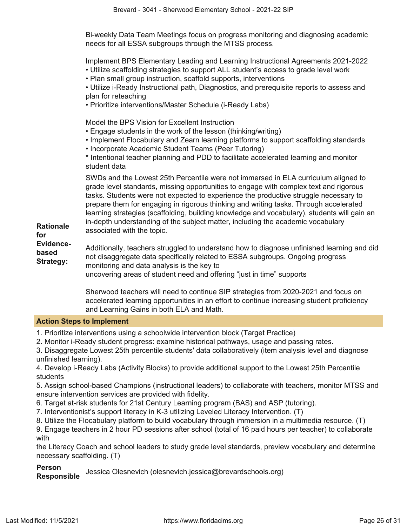Bi-weekly Data Team Meetings focus on progress monitoring and diagnosing academic needs for all ESSA subgroups through the MTSS process.

Implement BPS Elementary Leading and Learning Instructional Agreements 2021-2022

- Utilize scaffolding strategies to support ALL student's access to grade level work
- Plan small group instruction, scaffold supports, interventions

• Utilize i-Ready Instructional path, Diagnostics, and prerequisite reports to assess and plan for reteaching

• Prioritize interventions/Master Schedule (i-Ready Labs)

Model the BPS Vision for Excellent Instruction

- Engage students in the work of the lesson (thinking/writing)
- Implement Flocabulary and Zearn learning platforms to support scaffolding standards
- Incorporate Academic Student Teams (Peer Tutoring)

\* Intentional teacher planning and PDD to facilitate accelerated learning and monitor student data

SWDs and the Lowest 25th Percentile were not immersed in ELA curriculum aligned to grade level standards, missing opportunities to engage with complex text and rigorous tasks. Students were not expected to experience the productive struggle necessary to prepare them for engaging in rigorous thinking and writing tasks. Through accelerated learning strategies (scaffolding, building knowledge and vocabulary), students will gain an in-depth understanding of the subject matter, including the academic vocabulary associated with the topic.

**Rationale for Evidencebased Strategy:**

Additionally, teachers struggled to understand how to diagnose unfinished learning and did not disaggregate data specifically related to ESSA subgroups. Ongoing progress monitoring and data analysis is the key to

uncovering areas of student need and offering "just in time" supports

Sherwood teachers will need to continue SIP strategies from 2020-2021 and focus on accelerated learning opportunities in an effort to continue increasing student proficiency and Learning Gains in both ELA and Math.

## **Action Steps to Implement**

1. Prioritize interventions using a schoolwide intervention block (Target Practice)

2. Monitor i-Ready student progress: examine historical pathways, usage and passing rates.

3. Disaggregate Lowest 25th percentile students' data collaboratively (item analysis level and diagnose unfinished learning).

4. Develop i-Ready Labs (Activity Blocks) to provide additional support to the Lowest 25th Percentile students

5. Assign school-based Champions (instructional leaders) to collaborate with teachers, monitor MTSS and ensure intervention services are provided with fidelity.

6. Target at-risk students for 21st Century Learning program (BAS) and ASP (tutoring).

- 7. Interventionist's support literacy in K-3 utilizing Leveled Literacy Intervention. (T)
- 8. Utilize the Flocabulary platform to build vocabulary through immersion in a multimedia resource. (T)

9. Engage teachers in 2 hour PD sessions after school (total of 16 paid hours per teacher) to collaborate with

the Literacy Coach and school leaders to study grade level standards, preview vocabulary and determine necessary scaffolding. (T)

# **Person**

**Responsible** Jessica Olesnevich (olesnevich.jessica@brevardschools.org)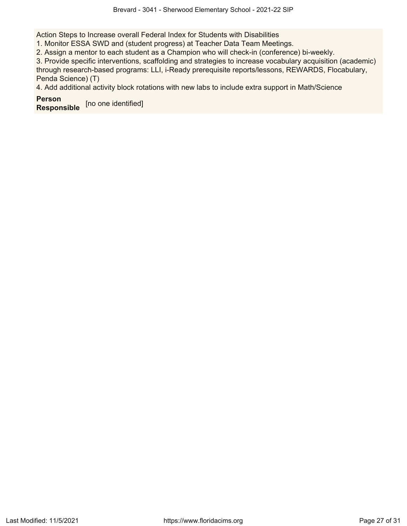Action Steps to Increase overall Federal Index for Students with Disabilities

1. Monitor ESSA SWD and (student progress) at Teacher Data Team Meetings.

2. Assign a mentor to each student as a Champion who will check-in (conference) bi-weekly.

3. Provide specific interventions, scaffolding and strategies to increase vocabulary acquisition (academic) through research-based programs: LLI, i-Ready prerequisite reports/lessons, REWARDS, Flocabulary, Penda Science) (T)

4. Add additional activity block rotations with new labs to include extra support in Math/Science

**Person Responsible** [no one identified]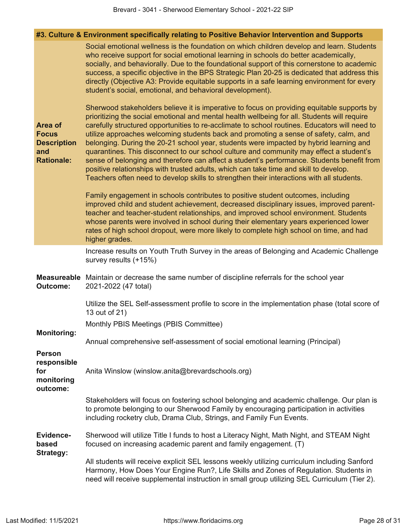|  | #3. Culture & Environment specifically relating to Positive Behavior Intervention and Supports |  |  |  |  |
|--|------------------------------------------------------------------------------------------------|--|--|--|--|
|  |                                                                                                |  |  |  |  |

|                                                                                  | Social emotional wellness is the foundation on which children develop and learn. Students<br>who receive support for social emotional learning in schools do better academically,<br>socially, and behaviorally. Due to the foundational support of this cornerstone to academic<br>success, a specific objective in the BPS Strategic Plan 20-25 is dedicated that address this<br>directly (Objective A3: Provide equitable supports in a safe learning environment for every<br>student's social, emotional, and behavioral development).                                                                                                                                                                                                                                                                                                                  |
|----------------------------------------------------------------------------------|---------------------------------------------------------------------------------------------------------------------------------------------------------------------------------------------------------------------------------------------------------------------------------------------------------------------------------------------------------------------------------------------------------------------------------------------------------------------------------------------------------------------------------------------------------------------------------------------------------------------------------------------------------------------------------------------------------------------------------------------------------------------------------------------------------------------------------------------------------------|
| <b>Area of</b><br><b>Focus</b><br><b>Description</b><br>and<br><b>Rationale:</b> | Sherwood stakeholders believe it is imperative to focus on providing equitable supports by<br>prioritizing the social emotional and mental health wellbeing for all. Students will require<br>carefully structured opportunities to re-acclimate to school routines. Educators will need to<br>utilize approaches welcoming students back and promoting a sense of safety, calm, and<br>belonging. During the 20-21 school year, students were impacted by hybrid learning and<br>quarantines. This disconnect to our school culture and community may effect a student's<br>sense of belonging and therefore can affect a student's performance. Students benefit from<br>positive relationships with trusted adults, which can take time and skill to develop.<br>Teachers often need to develop skills to strengthen their interactions with all students. |
|                                                                                  | Family engagement in schools contributes to positive student outcomes, including<br>improved child and student achievement, decreased disciplinary issues, improved parent-<br>teacher and teacher-student relationships, and improved school environment. Students<br>whose parents were involved in school during their elementary years experienced lower<br>rates of high school dropout, were more likely to complete high school on time, and had<br>higher grades.                                                                                                                                                                                                                                                                                                                                                                                     |
|                                                                                  | Increase results on Youth Truth Survey in the areas of Belonging and Academic Challenge<br>survey results (+15%)                                                                                                                                                                                                                                                                                                                                                                                                                                                                                                                                                                                                                                                                                                                                              |
| <b>Measureable</b><br><b>Outcome:</b>                                            | Maintain or decrease the same number of discipline referrals for the school year<br>2021-2022 (47 total)                                                                                                                                                                                                                                                                                                                                                                                                                                                                                                                                                                                                                                                                                                                                                      |
|                                                                                  | Utilize the SEL Self-assessment profile to score in the implementation phase (total score of<br>13 out of 21)                                                                                                                                                                                                                                                                                                                                                                                                                                                                                                                                                                                                                                                                                                                                                 |
| <b>Monitoring:</b>                                                               | Monthly PBIS Meetings (PBIS Committee)                                                                                                                                                                                                                                                                                                                                                                                                                                                                                                                                                                                                                                                                                                                                                                                                                        |
|                                                                                  | Annual comprehensive self-assessment of social emotional learning (Principal)                                                                                                                                                                                                                                                                                                                                                                                                                                                                                                                                                                                                                                                                                                                                                                                 |
| <b>Person</b><br>responsible<br>for<br>monitoring<br>outcome:                    | Anita Winslow (winslow.anita@brevardschools.org)                                                                                                                                                                                                                                                                                                                                                                                                                                                                                                                                                                                                                                                                                                                                                                                                              |
|                                                                                  | Stakeholders will focus on fostering school belonging and academic challenge. Our plan is<br>to promote belonging to our Sherwood Family by encouraging participation in activities<br>including rocketry club, Drama Club, Strings, and Family Fun Events.                                                                                                                                                                                                                                                                                                                                                                                                                                                                                                                                                                                                   |
| <b>Evidence-</b><br>based<br><b>Strategy:</b>                                    | Sherwood will utilize Title I funds to host a Literacy Night, Math Night, and STEAM Night<br>focused on increasing academic parent and family engagement. (T)                                                                                                                                                                                                                                                                                                                                                                                                                                                                                                                                                                                                                                                                                                 |
|                                                                                  | All students will receive explicit SEL lessons weekly utilizing curriculum including Sanford<br>Harmony, How Does Your Engine Run?, Life Skills and Zones of Regulation. Students in<br>need will receive supplemental instruction in small group utilizing SEL Curriculum (Tier 2).                                                                                                                                                                                                                                                                                                                                                                                                                                                                                                                                                                          |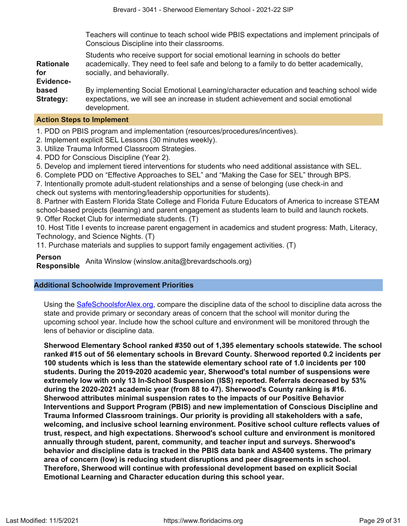Teachers will continue to teach school wide PBIS expectations and implement principals of Conscious Discipline into their classrooms.

**Rationale for Evidencebased Strategy:** Students who receive support for social emotional learning in schools do better academically. They need to feel safe and belong to a family to do better academically, socially, and behaviorally. By implementing Social Emotional Learning/character education and teaching school wide expectations, we will see an increase in student achievement and social emotional development.

#### **Action Steps to Implement**

1. PDD on PBIS program and implementation (resources/procedures/incentives).

- 2. Implement explicit SEL Lessons (30 minutes weekly).
- 3. Utilize Trauma Informed Classroom Strategies.
- 4. PDD for Conscious Discipline (Year 2).
- 5. Develop and implement tiered interventions for students who need additional assistance with SEL.
- 6. Complete PDD on "Effective Approaches to SEL" and "Making the Case for SEL" through BPS.

7. Intentionally promote adult-student relationships and a sense of belonging (use check-in and check out systems with mentoring/leadership opportunities for students).

8. Partner with Eastern Florida State College and Florida Future Educators of America to increase STEAM school-based projects (learning) and parent engagement as students learn to build and launch rockets. 9. Offer Rocket Club for intermediate students. (T)

10. Host Title I events to increase parent engagement in academics and student progress: Math, Literacy, Technology, and Science Nights. (T)

11. Purchase materials and supplies to support family engagement activities. (T)

**Person Responsible** Anita Winslow (winslow.anita@brevardschools.org)

# **Additional Schoolwide Improvement Priorities**

Using the [SafeSchoolsforAlex.org](https://www.safeschoolsforalex.org/fl-school-safety-dashboard/), compare the discipline data of the school to discipline data across the state and provide primary or secondary areas of concern that the school will monitor during the upcoming school year. Include how the school culture and environment will be monitored through the lens of behavior or discipline data.

**Sherwood Elementary School ranked #350 out of 1,395 elementary schools statewide. The school ranked #15 out of 56 elementary schools in Brevard County. Sherwood reported 0.2 incidents per 100 students which is less than the statewide elementary school rate of 1.0 incidents per 100 students. During the 2019-2020 academic year, Sherwood's total number of suspensions were extremely low with only 13 In-School Suspension (ISS) reported. Referrals decreased by 53% during the 2020-2021 academic year (from 88 to 47). Sherwood's County ranking is #16. Sherwood attributes minimal suspension rates to the impacts of our Positive Behavior Interventions and Support Program (PBIS) and new implementation of Conscious Discipline and Trauma Informed Classroom trainings. Our priority is providing all stakeholders with a safe, welcoming, and inclusive school learning environment. Positive school culture reflects values of trust, respect, and high expectations. Sherwood's school culture and environment is monitored annually through student, parent, community, and teacher input and surveys. Sherwood's behavior and discipline data is tracked in the PBIS data bank and AS400 systems. The primary area of concern (low) is reducing student disruptions and peer disagreements in school. Therefore, Sherwood will continue with professional development based on explicit Social Emotional Learning and Character education during this school year.**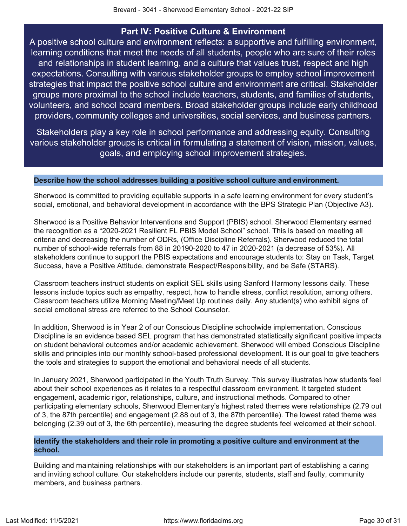# **Part IV: Positive Culture & Environment**

<span id="page-29-0"></span>A positive school culture and environment reflects: a supportive and fulfilling environment, learning conditions that meet the needs of all students, people who are sure of their roles and relationships in student learning, and a culture that values trust, respect and high expectations. Consulting with various stakeholder groups to employ school improvement strategies that impact the positive school culture and environment are critical. Stakeholder groups more proximal to the school include teachers, students, and families of students, volunteers, and school board members. Broad stakeholder groups include early childhood providers, community colleges and universities, social services, and business partners.

Stakeholders play a key role in school performance and addressing equity. Consulting various stakeholder groups is critical in formulating a statement of vision, mission, values, goals, and employing school improvement strategies.

# **Describe how the school addresses building a positive school culture and environment.**

Sherwood is committed to providing equitable supports in a safe learning environment for every student's social, emotional, and behavioral development in accordance with the BPS Strategic Plan (Objective A3).

Sherwood is a Positive Behavior Interventions and Support (PBIS) school. Sherwood Elementary earned the recognition as a "2020-2021 Resilient FL PBIS Model School" school. This is based on meeting all criteria and decreasing the number of ODRs, (Office Discipline Referrals). Sherwood reduced the total number of school-wide referrals from 88 in 20190-2020 to 47 in 2020-2021 (a decrease of 53%). All stakeholders continue to support the PBIS expectations and encourage students to: Stay on Task, Target Success, have a Positive Attitude, demonstrate Respect/Responsibility, and be Safe (STARS).

Classroom teachers instruct students on explicit SEL skills using Sanford Harmony lessons daily. These lessons include topics such as empathy, respect, how to handle stress, conflict resolution, among others. Classroom teachers utilize Morning Meeting/Meet Up routines daily. Any student(s) who exhibit signs of social emotional stress are referred to the School Counselor.

In addition, Sherwood is in Year 2 of our Conscious Discipline schoolwide implementation. Conscious Discipline is an evidence based SEL program that has demonstrated statistically significant positive impacts on student behavioral outcomes and/or academic achievement. Sherwood will embed Conscious Discipline skills and principles into our monthly school-based professional development. It is our goal to give teachers the tools and strategies to support the emotional and behavioral needs of all students.

In January 2021, Sherwood participated in the Youth Truth Survey. This survey illustrates how students feel about their school experiences as it relates to a respectful classroom environment. It targeted student engagement, academic rigor, relationships, culture, and instructional methods. Compared to other participating elementary schools, Sherwood Elementary's highest rated themes were relationships (2.79 out of 3, the 87th percentile) and engagement (2.88 out of 3, the 87th percentile). The lowest rated theme was belonging (2.39 out of 3, the 6th percentile), measuring the degree students feel welcomed at their school.

# **Identify the stakeholders and their role in promoting a positive culture and environment at the school.**

Building and maintaining relationships with our stakeholders is an important part of establishing a caring and inviting school culture. Our stakeholders include our parents, students, staff and faulty, community members, and business partners.